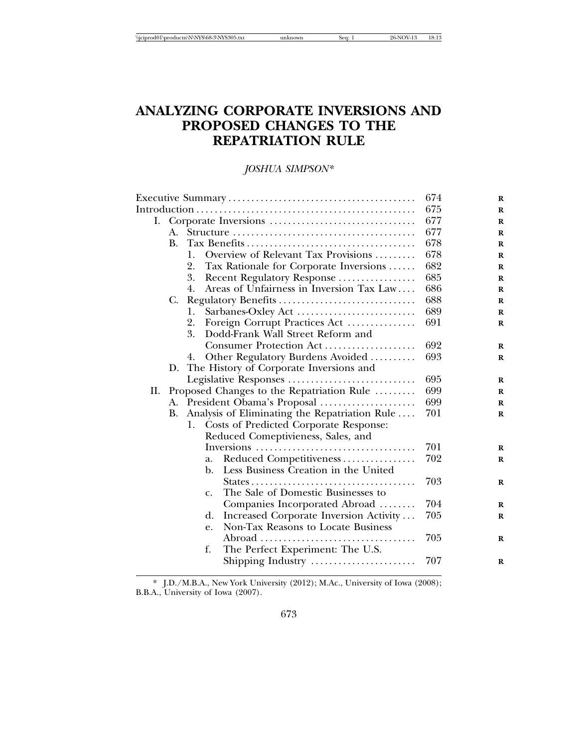|  |  | \\iciprod01\productn\N\NYS\68-3\NYS305.txt | Sea. | 96-. | . C |
|--|--|--------------------------------------------|------|------|-----|
|--|--|--------------------------------------------|------|------|-----|

# **ANALYZING CORPORATE INVERSIONS AND PROPOSED CHANGES TO THE REPATRIATION RULE**

## *JOSHUA SIMPSON\**

|     |           |                                                        | 674 | $\bf{R}$ |
|-----|-----------|--------------------------------------------------------|-----|----------|
|     |           |                                                        | 675 | R        |
| Ι.  |           |                                                        | 677 | $\bf{R}$ |
|     |           |                                                        | 677 | $\bf{R}$ |
|     | <b>B.</b> |                                                        | 678 | $\bf{R}$ |
|     |           | Overview of Relevant Tax Provisions<br>1.              | 678 | $\bf{R}$ |
|     |           | 2.<br>Tax Rationale for Corporate Inversions           | 682 | $\bf{R}$ |
|     |           | 3.<br>Recent Regulatory Response                       | 685 | $\bf{R}$ |
|     |           | Areas of Unfairness in Inversion Tax Law<br>4.         | 686 | $\bf{R}$ |
|     | C.        | Regulatory Benefits                                    | 688 | $\bf{R}$ |
|     |           | Sarbanes-Oxley Act<br>1.                               | 689 | $\bf{R}$ |
|     |           | Foreign Corrupt Practices Act<br>2.                    | 691 | $\bf{R}$ |
|     |           | 3.<br>Dodd-Frank Wall Street Reform and                |     |          |
|     |           | Consumer Protection Act                                | 692 | $\bf{R}$ |
|     |           | Other Regulatory Burdens Avoided<br>4.                 | 693 | $\bf{R}$ |
|     | D.        | The History of Corporate Inversions and                |     |          |
|     |           | Legislative Responses                                  | 695 | R        |
| II. |           | Proposed Changes to the Repatriation Rule              | 699 | $\bf{R}$ |
|     |           | A. President Obama's Proposal                          | 699 | R        |
|     | В.        | Analysis of Eliminating the Repatriation Rule          | 701 | $\bf{R}$ |
|     |           | 1. Costs of Predicted Corporate Response:              |     |          |
|     |           | Reduced Comeptivieness, Sales, and                     |     |          |
|     |           |                                                        | 701 | R        |
|     |           | Reduced Competitiveness<br>a.                          | 702 | $\bf{R}$ |
|     |           | Less Business Creation in the United<br>$\mathbf{b}$ . |     |          |
|     |           |                                                        | 703 | R        |
|     |           | The Sale of Domestic Businesses to<br>$C_{\bullet}$    |     |          |
|     |           | Companies Incorporated Abroad                          | 704 | R        |
|     |           | Increased Corporate Inversion Activity<br>d.           | 705 | R        |
|     |           | Non-Tax Reasons to Locate Business<br>e.               |     |          |
|     |           |                                                        | 705 | R        |
|     |           | The Perfect Experiment: The U.S.<br>f.                 |     |          |
|     |           | Shipping Industry                                      | 707 | R        |
|     |           |                                                        |     |          |

\* J.D./M.B.A., New York University (2012); M.Ac., University of Iowa (2008); B.B.A., University of Iowa (2007).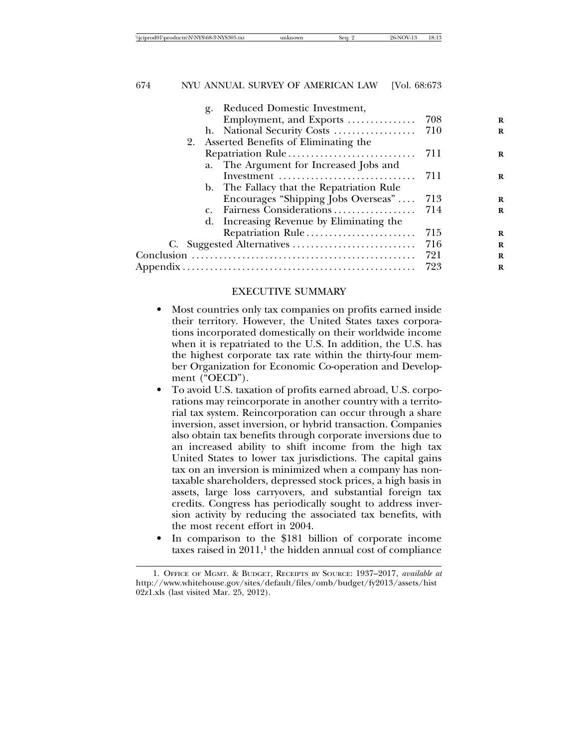| Reduced Domestic Investment,<br>g.        |     |          |
|-------------------------------------------|-----|----------|
| Employment, and Exports                   | 708 | R        |
| h. National Security Costs                | 710 | R        |
| 2. Asserted Benefits of Eliminating the   |     |          |
| Repatriation Rule                         | 711 | $\bf{R}$ |
| a. The Argument for Increased Jobs and    |     |          |
| Investment                                | 711 | $\bf{R}$ |
| b. The Fallacy that the Repatriation Rule |     |          |
| Encourages "Shipping Jobs Overseas"       | 713 | R        |
| c. Fairness Considerations                | 714 | R        |
| d. Increasing Revenue by Eliminating the  |     |          |
| Repatriation Rule                         | 715 | R        |
|                                           | 716 | R        |
|                                           | 721 | R        |
|                                           | 723 | R        |
|                                           |     |          |

#### EXECUTIVE SUMMARY

- Most countries only tax companies on profits earned inside their territory. However, the United States taxes corporations incorporated domestically on their worldwide income when it is repatriated to the U.S. In addition, the U.S. has the highest corporate tax rate within the thirty-four member Organization for Economic Co-operation and Development ("OECD").
- To avoid U.S. taxation of profits earned abroad, U.S. corporations may reincorporate in another country with a territorial tax system. Reincorporation can occur through a share inversion, asset inversion, or hybrid transaction. Companies also obtain tax benefits through corporate inversions due to an increased ability to shift income from the high tax United States to lower tax jurisdictions. The capital gains tax on an inversion is minimized when a company has nontaxable shareholders, depressed stock prices, a high basis in assets, large loss carryovers, and substantial foreign tax credits. Congress has periodically sought to address inversion activity by reducing the associated tax benefits, with the most recent effort in 2004.
- In comparison to the \$181 billion of corporate income taxes raised in  $2011<sup>1</sup>$ , the hidden annual cost of compliance

<sup>1.</sup> OFFICE OF MGMT. & BUDGET, RECEIPTS BY SOURCE: 1937–2017, *available at* http://www.whitehouse.gov/sites/default/files/omb/budget/fy2013/assets/hist 02z1.xls (last visited Mar. 25, 2012).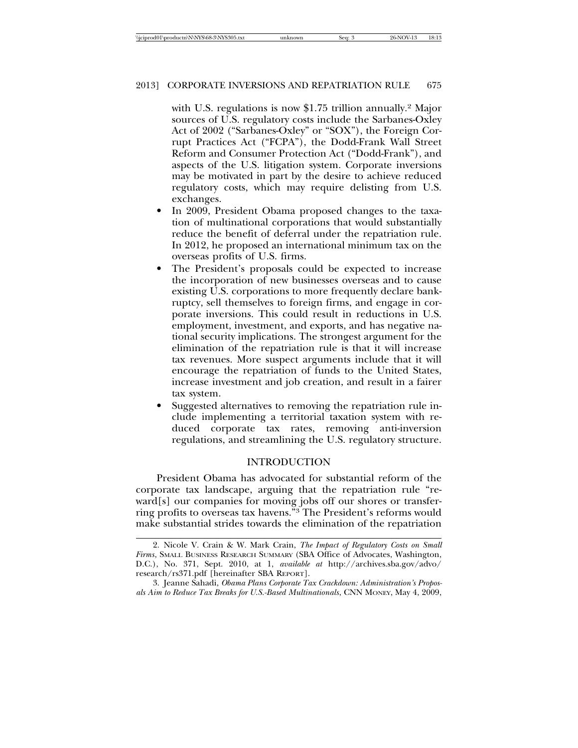with U.S. regulations is now \$1.75 trillion annually.<sup>2</sup> Major sources of U.S. regulatory costs include the Sarbanes-Oxley Act of 2002 ("Sarbanes-Oxley" or "SOX"), the Foreign Corrupt Practices Act ("FCPA"), the Dodd-Frank Wall Street Reform and Consumer Protection Act ("Dodd-Frank"), and aspects of the U.S. litigation system. Corporate inversions may be motivated in part by the desire to achieve reduced regulatory costs, which may require delisting from U.S. exchanges.

- In 2009, President Obama proposed changes to the taxation of multinational corporations that would substantially reduce the benefit of deferral under the repatriation rule. In 2012, he proposed an international minimum tax on the overseas profits of U.S. firms.
- The President's proposals could be expected to increase the incorporation of new businesses overseas and to cause existing U.S. corporations to more frequently declare bankruptcy, sell themselves to foreign firms, and engage in corporate inversions. This could result in reductions in U.S. employment, investment, and exports, and has negative national security implications. The strongest argument for the elimination of the repatriation rule is that it will increase tax revenues. More suspect arguments include that it will encourage the repatriation of funds to the United States, increase investment and job creation, and result in a fairer tax system.
- Suggested alternatives to removing the repatriation rule include implementing a territorial taxation system with reduced corporate tax rates, removing anti-inversion regulations, and streamlining the U.S. regulatory structure.

#### INTRODUCTION

President Obama has advocated for substantial reform of the corporate tax landscape, arguing that the repatriation rule "reward[s] our companies for moving jobs off our shores or transferring profits to overseas tax havens."3 The President's reforms would make substantial strides towards the elimination of the repatriation

<sup>2.</sup> Nicole V. Crain & W. Mark Crain, *The Impact of Regulatory Costs on Small Firms*, SMALL BUSINESS RESEARCH SUMMARY (SBA Office of Advocates, Washington, D.C.), No. 371, Sept. 2010, at 1, *available at* http://archives.sba.gov/advo/ research/rs371.pdf [hereinafter SBA REPORT].

<sup>3.</sup> Jeanne Sahadi, *Obama Plans Corporate Tax Crackdown: Administration's Proposals Aim to Reduce Tax Breaks for U.S.-Based Multinationals*, CNN MONEY, May 4, 2009,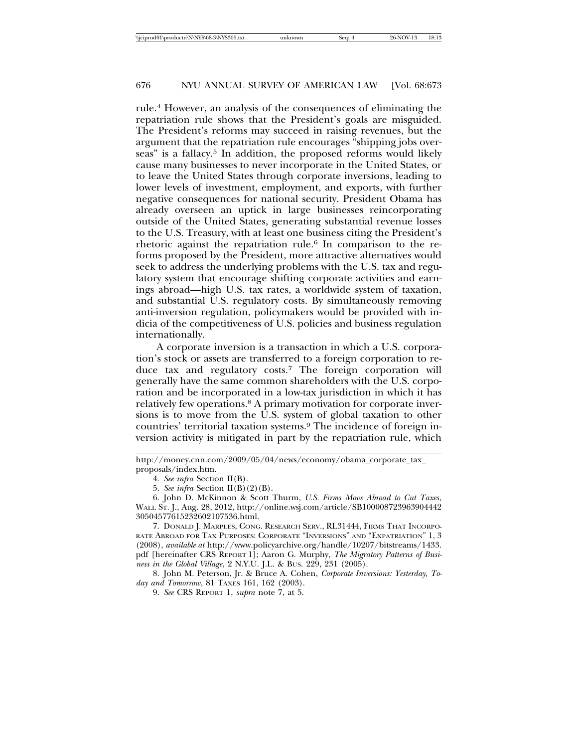rule.4 However, an analysis of the consequences of eliminating the repatriation rule shows that the President's goals are misguided. The President's reforms may succeed in raising revenues, but the argument that the repatriation rule encourages "shipping jobs overseas" is a fallacy.<sup>5</sup> In addition, the proposed reforms would likely cause many businesses to never incorporate in the United States, or to leave the United States through corporate inversions, leading to lower levels of investment, employment, and exports, with further negative consequences for national security. President Obama has already overseen an uptick in large businesses reincorporating outside of the United States, generating substantial revenue losses to the U.S. Treasury, with at least one business citing the President's rhetoric against the repatriation rule.<sup>6</sup> In comparison to the reforms proposed by the President, more attractive alternatives would seek to address the underlying problems with the U.S. tax and regulatory system that encourage shifting corporate activities and earnings abroad—high U.S. tax rates, a worldwide system of taxation, and substantial U.S. regulatory costs. By simultaneously removing anti-inversion regulation, policymakers would be provided with indicia of the competitiveness of U.S. policies and business regulation internationally.

A corporate inversion is a transaction in which a U.S. corporation's stock or assets are transferred to a foreign corporation to reduce tax and regulatory costs.7 The foreign corporation will generally have the same common shareholders with the U.S. corporation and be incorporated in a low-tax jurisdiction in which it has relatively few operations.8 A primary motivation for corporate inversions is to move from the U.S. system of global taxation to other countries' territorial taxation systems.9 The incidence of foreign inversion activity is mitigated in part by the repatriation rule, which

7. DONALD J. MARPLES, CONG. RESEARCH SERV., RL31444, FIRMS THAT INCORPO-RATE ABROAD FOR TAX PURPOSES: CORPORATE "INVERSIONS" AND "EXPATRIATION" 1, 3 (2008), *available at* http://www.policyarchive.org/handle/10207/bitstreams/1433. pdf [hereinafter CRS REPORT 1]; Aaron G. Murphy, *The Migratory Patterns of Business in the Global Village*, 2 N.Y.U. J.L. & BUS. 229, 231 (2005).

8. John M. Peterson, Jr. & Bruce A. Cohen, *Corporate Inversions: Yesterday, Today and Tomorrow*, 81 TAXES 161, 162 (2003).

9. *See* CRS REPORT 1, *supra* note 7, at 5.

http://money.cnn.com/2009/05/04/news/economy/obama\_corporate\_tax\_ proposals/index.htm.

<sup>4.</sup> *See infra* Section II(B).

<sup>5.</sup> *See infra* Section II(B)(2)(B).

<sup>6.</sup> John D. McKinnon & Scott Thurm, *U.S. Firms Move Abroad to Cut Taxes*, WALL ST. J., Aug. 28, 2012, http://online.wsj.com/article/SB100008723963904442 30504577615232602107536.html.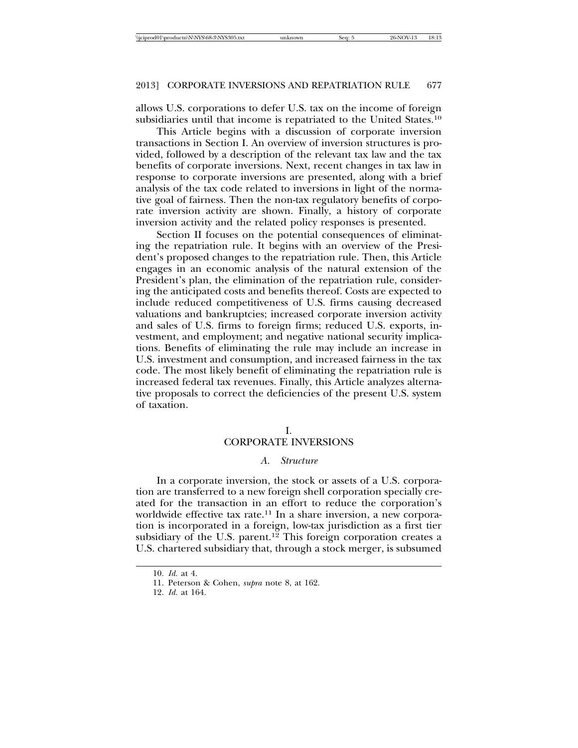allows U.S. corporations to defer U.S. tax on the income of foreign subsidiaries until that income is repatriated to the United States.10

This Article begins with a discussion of corporate inversion transactions in Section I. An overview of inversion structures is provided, followed by a description of the relevant tax law and the tax benefits of corporate inversions. Next, recent changes in tax law in response to corporate inversions are presented, along with a brief analysis of the tax code related to inversions in light of the normative goal of fairness. Then the non-tax regulatory benefits of corporate inversion activity are shown. Finally, a history of corporate inversion activity and the related policy responses is presented.

Section II focuses on the potential consequences of eliminating the repatriation rule. It begins with an overview of the President's proposed changes to the repatriation rule. Then, this Article engages in an economic analysis of the natural extension of the President's plan, the elimination of the repatriation rule, considering the anticipated costs and benefits thereof. Costs are expected to include reduced competitiveness of U.S. firms causing decreased valuations and bankruptcies; increased corporate inversion activity and sales of U.S. firms to foreign firms; reduced U.S. exports, investment, and employment; and negative national security implications. Benefits of eliminating the rule may include an increase in U.S. investment and consumption, and increased fairness in the tax code. The most likely benefit of eliminating the repatriation rule is increased federal tax revenues. Finally, this Article analyzes alternative proposals to correct the deficiencies of the present U.S. system of taxation.

#### I.

## CORPORATE INVERSIONS

#### *A. Structure*

In a corporate inversion, the stock or assets of a U.S. corporation are transferred to a new foreign shell corporation specially created for the transaction in an effort to reduce the corporation's worldwide effective tax rate.<sup>11</sup> In a share inversion, a new corporation is incorporated in a foreign, low-tax jurisdiction as a first tier subsidiary of the U.S. parent.<sup>12</sup> This foreign corporation creates a U.S. chartered subsidiary that, through a stock merger, is subsumed

<sup>10.</sup> *Id.* at 4.

<sup>11.</sup> Peterson & Cohen, *supra* note 8, at 162.

<sup>12.</sup> *Id.* at 164.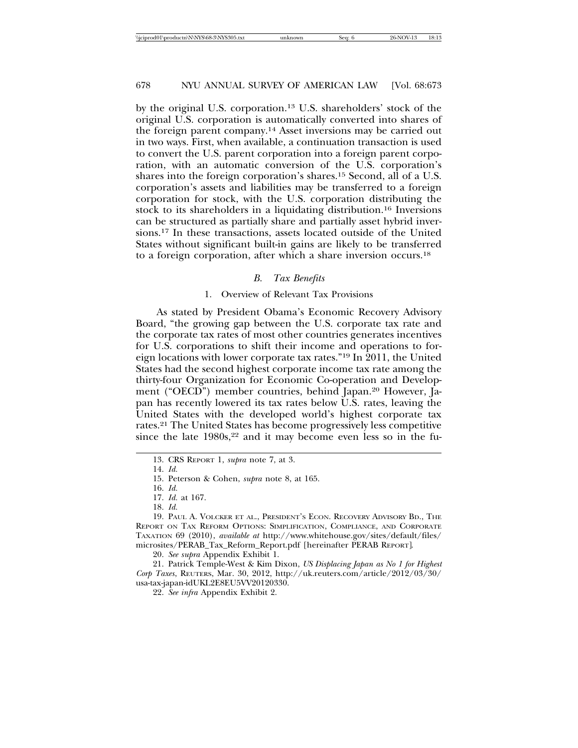by the original U.S. corporation.13 U.S. shareholders' stock of the original U.S. corporation is automatically converted into shares of the foreign parent company.14 Asset inversions may be carried out in two ways. First, when available, a continuation transaction is used to convert the U.S. parent corporation into a foreign parent corporation, with an automatic conversion of the U.S. corporation's shares into the foreign corporation's shares.15 Second, all of a U.S. corporation's assets and liabilities may be transferred to a foreign corporation for stock, with the U.S. corporation distributing the stock to its shareholders in a liquidating distribution.16 Inversions can be structured as partially share and partially asset hybrid inversions.17 In these transactions, assets located outside of the United States without significant built-in gains are likely to be transferred to a foreign corporation, after which a share inversion occurs.18

#### *B. Tax Benefits*

#### 1. Overview of Relevant Tax Provisions

As stated by President Obama's Economic Recovery Advisory Board, "the growing gap between the U.S. corporate tax rate and the corporate tax rates of most other countries generates incentives for U.S. corporations to shift their income and operations to foreign locations with lower corporate tax rates."19 In 2011, the United States had the second highest corporate income tax rate among the thirty-four Organization for Economic Co-operation and Development ("OECD") member countries, behind Japan.20 However, Japan has recently lowered its tax rates below U.S. rates, leaving the United States with the developed world's highest corporate tax rates.21 The United States has become progressively less competitive since the late  $1980s$ ,<sup>22</sup> and it may become even less so in the fu-

<sup>13.</sup> CRS REPORT 1, *supra* note 7, at 3.

<sup>14.</sup> *Id.*

<sup>15.</sup> Peterson & Cohen, *supra* note 8, at 165.

<sup>16.</sup> *Id.*

<sup>17.</sup> *Id.* at 167.

<sup>18.</sup> *Id.*

<sup>19.</sup> PAUL A. VOLCKER ET AL., PRESIDENT'S ECON. RECOVERY ADVISORY BD., THE REPORT ON TAX REFORM OPTIONS: SIMPLIFICATION, COMPLIANCE, AND CORPORATE TAXATION 69 (2010), *available at* http://www.whitehouse.gov/sites/default/files/ microsites/PERAB\_Tax\_Reform\_Report.pdf [hereinafter PERAB REPORT].

<sup>20.</sup> *See supra* Appendix Exhibit 1.

<sup>21.</sup> Patrick Temple-West & Kim Dixon, *US Displacing Japan as No 1 for Highest Corp Taxes*, REUTERS, Mar. 30, 2012, http://uk.reuters.com/article/2012/03/30/ usa-tax-japan-idUKL2E8EU5VV20120330.

<sup>22.</sup> *See infra* Appendix Exhibit 2.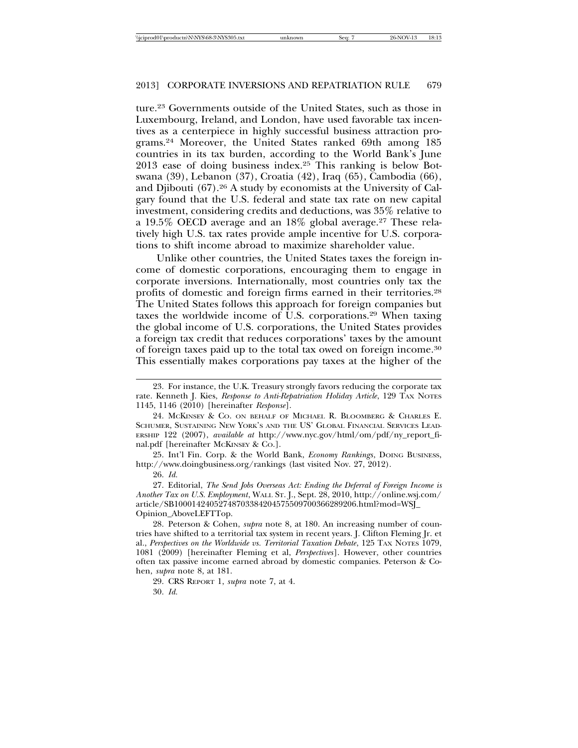ture.23 Governments outside of the United States, such as those in Luxembourg, Ireland, and London, have used favorable tax incentives as a centerpiece in highly successful business attraction programs.24 Moreover, the United States ranked 69th among 185 countries in its tax burden, according to the World Bank's June 2013 ease of doing business index.25 This ranking is below Botswana (39), Lebanon (37), Croatia (42), Iraq (65), Cambodia (66), and Djibouti (67).26 A study by economists at the University of Calgary found that the U.S. federal and state tax rate on new capital investment, considering credits and deductions, was 35% relative to a 19.5% OECD average and an 18% global average.27 These relatively high U.S. tax rates provide ample incentive for U.S. corporations to shift income abroad to maximize shareholder value.

Unlike other countries, the United States taxes the foreign income of domestic corporations, encouraging them to engage in corporate inversions. Internationally, most countries only tax the profits of domestic and foreign firms earned in their territories.28 The United States follows this approach for foreign companies but taxes the worldwide income of U.S. corporations.29 When taxing the global income of U.S. corporations, the United States provides a foreign tax credit that reduces corporations' taxes by the amount of foreign taxes paid up to the total tax owed on foreign income.30 This essentially makes corporations pay taxes at the higher of the

25. Int'l Fin. Corp. & the World Bank, *Economy Rankings*, DOING BUSINESS, http://www.doingbusiness.org/rankings (last visited Nov. 27, 2012).

26. *Id.*

27. Editorial, *The Send Jobs Overseas Act: Ending the Deferral of Foreign Income is Another Tax on U.S. Employment*, WALL ST. J., Sept. 28, 2010, http://online.wsj.com/ article/SB10001424052748703384204575509700366289206.html?mod=WSJ\_ Opinion\_AboveLEFTTop.

28. Peterson & Cohen, *supra* note 8, at 180. An increasing number of countries have shifted to a territorial tax system in recent years. J. Clifton Fleming Jr. et al., *Perspectives on the Worldwide vs. Territorial Taxation Debate*, 125 TAX NOTES 1079, 1081 (2009) [hereinafter Fleming et al, *Perspectives*]. However, other countries often tax passive income earned abroad by domestic companies. Peterson & Cohen, *supra* note 8, at 181.

29. CRS REPORT 1, *supra* note 7, at 4.

30. *Id.*

<sup>23.</sup> For instance, the U.K. Treasury strongly favors reducing the corporate tax rate. Kenneth J. Kies, *Response to Anti-Repatriation Holiday Article*, 129 TAX NOTES 1145, 1146 (2010) [hereinafter *Response*].

<sup>24.</sup> MCKINSEY & CO. ON BEHALF OF MICHAEL R. BLOOMBERG & CHARLES E. SCHUMER, SUSTAINING NEW YORK'S AND THE US' GLOBAL FINANCIAL SERVICES LEAD-ERSHIP 122 (2007), *available at* http://www.nyc.gov/html/om/pdf/ny\_report\_final.pdf [hereinafter MCKINSEY & CO.].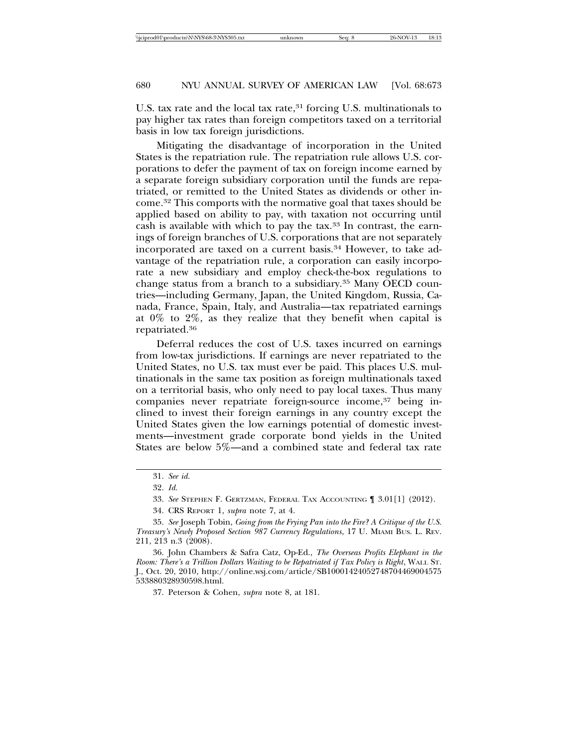U.S. tax rate and the local tax rate,<sup>31</sup> forcing U.S. multinationals to pay higher tax rates than foreign competitors taxed on a territorial basis in low tax foreign jurisdictions.

Mitigating the disadvantage of incorporation in the United States is the repatriation rule. The repatriation rule allows U.S. corporations to defer the payment of tax on foreign income earned by a separate foreign subsidiary corporation until the funds are repatriated, or remitted to the United States as dividends or other income.32 This comports with the normative goal that taxes should be applied based on ability to pay, with taxation not occurring until cash is available with which to pay the tax.33 In contrast, the earnings of foreign branches of U.S. corporations that are not separately incorporated are taxed on a current basis.34 However, to take advantage of the repatriation rule, a corporation can easily incorporate a new subsidiary and employ check-the-box regulations to change status from a branch to a subsidiary.<sup>35</sup> Many OECD countries—including Germany, Japan, the United Kingdom, Russia, Canada, France, Spain, Italy, and Australia—tax repatriated earnings at 0% to 2%, as they realize that they benefit when capital is repatriated.36

Deferral reduces the cost of U.S. taxes incurred on earnings from low-tax jurisdictions. If earnings are never repatriated to the United States, no U.S. tax must ever be paid. This places U.S. multinationals in the same tax position as foreign multinationals taxed on a territorial basis, who only need to pay local taxes. Thus many companies never repatriate foreign-source income,<sup>37</sup> being inclined to invest their foreign earnings in any country except the United States given the low earnings potential of domestic investments—investment grade corporate bond yields in the United States are below 5%—and a combined state and federal tax rate

37. Peterson & Cohen, *supra* note 8, at 181.

<sup>31.</sup> *See id.*

<sup>32.</sup> *Id.*

<sup>33.</sup> *See* STEPHEN F. GERTZMAN, FEDERAL TAX ACCOUNTING ¶ 3.01[1] (2012).

<sup>34.</sup> CRS REPORT 1, *supra* note 7, at 4.

<sup>35.</sup> *See* Joseph Tobin, *Going from the Frying Pan into the Fire? A Critique of the U.S. Treasury's Newly Proposed Section 987 Currency Regulations*, 17 U. MIAMI BUS. L. REV. 211, 213 n.3 (2008).

<sup>36.</sup> John Chambers & Safra Catz, Op-Ed., *The Overseas Profits Elephant in the Room: There's a Trillion Dollars Waiting to be Repatriated if Tax Policy is Right*, WALL ST. J., Oct. 20, 2010, http://online.wsj.com/article/SB10001424052748704469004575 533880328930598.html.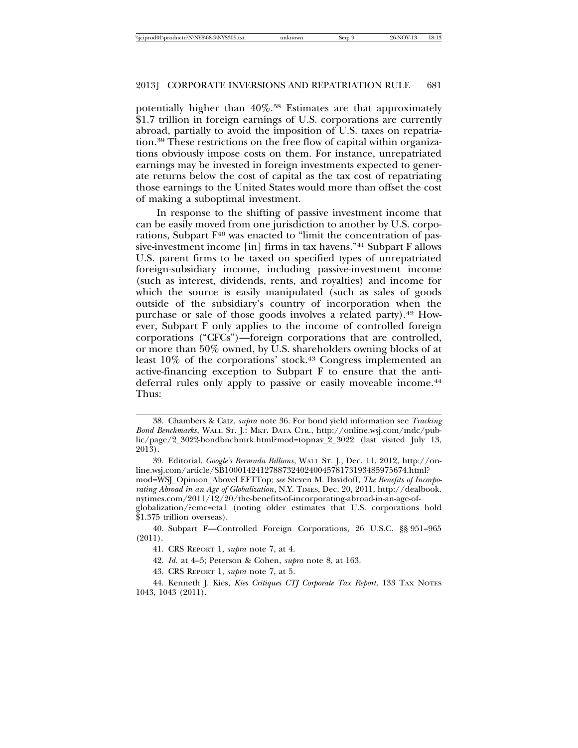potentially higher than 40%.38 Estimates are that approximately \$1.7 trillion in foreign earnings of U.S. corporations are currently abroad, partially to avoid the imposition of U.S. taxes on repatriation.39 These restrictions on the free flow of capital within organizations obviously impose costs on them. For instance, unrepatriated earnings may be invested in foreign investments expected to generate returns below the cost of capital as the tax cost of repatriating those earnings to the United States would more than offset the cost of making a suboptimal investment.

In response to the shifting of passive investment income that can be easily moved from one jurisdiction to another by U.S. corporations, Subpart  $F^{40}$  was enacted to "limit the concentration of passive-investment income [in] firms in tax havens."41 Subpart F allows U.S. parent firms to be taxed on specified types of unrepatriated foreign-subsidiary income, including passive-investment income (such as interest, dividends, rents, and royalties) and income for which the source is easily manipulated (such as sales of goods outside of the subsidiary's country of incorporation when the purchase or sale of those goods involves a related party).<sup>42</sup> However, Subpart F only applies to the income of controlled foreign corporations ("CFCs")—foreign corporations that are controlled, or more than 50% owned, by U.S. shareholders owning blocks of at least 10% of the corporations' stock.43 Congress implemented an active-financing exception to Subpart F to ensure that the antideferral rules only apply to passive or easily moveable income.<sup>44</sup> Thus:

<sup>38.</sup> Chambers & Catz, *supra* note 36. For bond yield information see *Tracking Bond Benchmarks*, WALL ST. J.: MKT. DATA CTR., http://online.wsj.com/mdc/public/page/2\_3022-bondbnchmrk.html?mod=topnav\_2\_3022 (last visited July 13, 2013).

<sup>39.</sup> Editorial, *Google's Bermuda Billions*, WALL ST. J., Dec. 11, 2012, http://online.wsj.com/article/SB10001424127887324024004578173193485975674.html? mod=WSJ\_Opinion\_AboveLEFTTop; *see* Steven M. Davidoff, *The Benefits of Incorporating Abroad in an Age of Globalization*, N.Y. TIMES, Dec. 20, 2011, http://dealbook. nytimes.com/2011/12/20/the-benefits-of-incorporating-abroad-in-an-age-ofglobalization/?emc=eta1 (noting older estimates that U.S. corporations hold \$1.375 trillion overseas).

<sup>40.</sup> Subpart F—Controlled Foreign Corporations, 26 U.S.C. §§ 951–965 (2011).

<sup>41.</sup> CRS REPORT 1, *supra* note 7, at 4.

<sup>42.</sup> *Id.* at 4–5; Peterson & Cohen, *supra* note 8, at 163.

<sup>43.</sup> CRS REPORT 1, *supra* note 7, at 5.

<sup>44.</sup> Kenneth J. Kies, *Kies Critiques CTJ Corporate Tax Report*, 133 TAX NOTES 1043, 1043 (2011).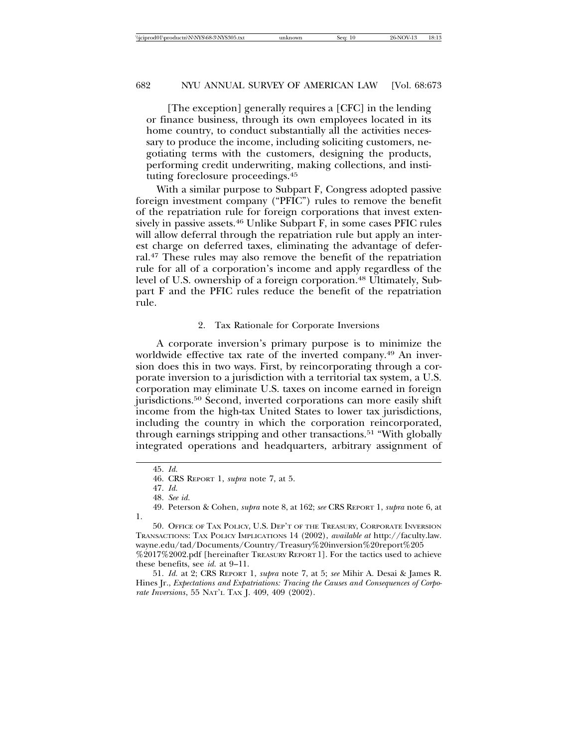[The exception] generally requires a [CFC] in the lending or finance business, through its own employees located in its home country, to conduct substantially all the activities necessary to produce the income, including soliciting customers, negotiating terms with the customers, designing the products, performing credit underwriting, making collections, and instituting foreclosure proceedings.45

With a similar purpose to Subpart F, Congress adopted passive foreign investment company ("PFIC") rules to remove the benefit of the repatriation rule for foreign corporations that invest extensively in passive assets.<sup>46</sup> Unlike Subpart F, in some cases PFIC rules will allow deferral through the repatriation rule but apply an interest charge on deferred taxes, eliminating the advantage of deferral.47 These rules may also remove the benefit of the repatriation rule for all of a corporation's income and apply regardless of the level of U.S. ownership of a foreign corporation.<sup>48</sup> Ultimately, Subpart F and the PFIC rules reduce the benefit of the repatriation rule.

#### 2. Tax Rationale for Corporate Inversions

A corporate inversion's primary purpose is to minimize the worldwide effective tax rate of the inverted company.49 An inversion does this in two ways. First, by reincorporating through a corporate inversion to a jurisdiction with a territorial tax system, a U.S. corporation may eliminate U.S. taxes on income earned in foreign jurisdictions.50 Second, inverted corporations can more easily shift income from the high-tax United States to lower tax jurisdictions, including the country in which the corporation reincorporated, through earnings stripping and other transactions.<sup>51</sup> "With globally integrated operations and headquarters, arbitrary assignment of

<sup>45.</sup> *Id.*

<sup>46.</sup> CRS REPORT 1, *supra* note 7, at 5.

<sup>47.</sup> *Id.*

<sup>48.</sup> *See id.*

<sup>49.</sup> Peterson & Cohen, *supra* note 8, at 162; *see* CRS REPORT 1, *supra* note 6, at 1.

<sup>50.</sup> OFFICE OF TAX POLICY, U.S. DEP'T OF THE TREASURY, CORPORATE INVERSION TRANSACTIONS: TAX POLICY IMPLICATIONS 14 (2002), *available at* http://faculty.law. wayne.edu/tad/Documents/Country/Treasury%20inversion%20report%205 %2017%2002.pdf [hereinafter TREASURY REPORT 1]. For the tactics used to achieve these benefits, see *id.* at 9–11.

<sup>51.</sup> *Id.* at 2; CRS REPORT 1, *supra* note 7, at 5; *see* Mihir A. Desai & James R. Hines Jr., *Expectations and Expatriations: Tracing the Causes and Consequences of Corporate Inversions*, 55 NAT'L TAX J. 409, 409 (2002).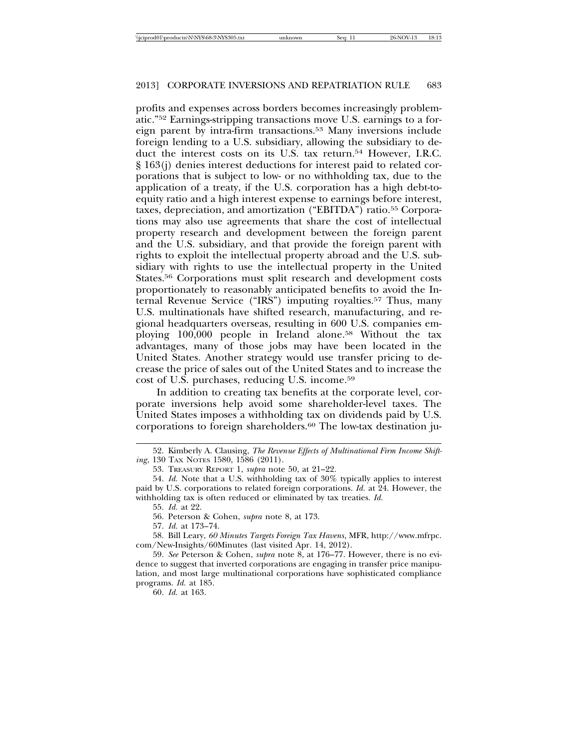profits and expenses across borders becomes increasingly problematic."52 Earnings-stripping transactions move U.S. earnings to a foreign parent by intra-firm transactions.53 Many inversions include foreign lending to a U.S. subsidiary, allowing the subsidiary to deduct the interest costs on its U.S. tax return.54 However, I.R.C. § 163(j) denies interest deductions for interest paid to related corporations that is subject to low- or no withholding tax, due to the application of a treaty, if the U.S. corporation has a high debt-toequity ratio and a high interest expense to earnings before interest, taxes, depreciation, and amortization ("EBITDA") ratio.55 Corporations may also use agreements that share the cost of intellectual property research and development between the foreign parent and the U.S. subsidiary, and that provide the foreign parent with rights to exploit the intellectual property abroad and the U.S. subsidiary with rights to use the intellectual property in the United States.56 Corporations must split research and development costs proportionately to reasonably anticipated benefits to avoid the Internal Revenue Service ("IRS") imputing royalties.57 Thus, many U.S. multinationals have shifted research, manufacturing, and regional headquarters overseas, resulting in 600 U.S. companies employing 100,000 people in Ireland alone.58 Without the tax advantages, many of those jobs may have been located in the United States. Another strategy would use transfer pricing to decrease the price of sales out of the United States and to increase the cost of U.S. purchases, reducing U.S. income.59

In addition to creating tax benefits at the corporate level, corporate inversions help avoid some shareholder-level taxes. The United States imposes a withholding tax on dividends paid by U.S. corporations to foreign shareholders.<sup>60</sup> The low-tax destination ju-

<sup>52.</sup> Kimberly A. Clausing, *The Revenue Effects of Multinational Firm Income Shifting*, 130 TAX NOTES 1580, 1586 (2011).

<sup>53.</sup> TREASURY REPORT 1, *supra* note 50, at 21–22.

<sup>54.</sup> *Id.* Note that a U.S. withholding tax of 30% typically applies to interest paid by U.S. corporations to related foreign corporations. *Id.* at 24. However, the withholding tax is often reduced or eliminated by tax treaties. *Id.*

<sup>55.</sup> *Id.* at 22.

<sup>56.</sup> Peterson & Cohen, *supra* note 8, at 173.

<sup>57.</sup> *Id.* at 173–74.

<sup>58.</sup> Bill Leary, *60 Minutes Targets Foreign Tax Havens*, MFR, http://www.mfrpc. com/New-Insights/60Minutes (last visited Apr. 14, 2012).

<sup>59.</sup> *See* Peterson & Cohen, *supra* note 8, at 176–77. However, there is no evidence to suggest that inverted corporations are engaging in transfer price manipulation, and most large multinational corporations have sophisticated compliance programs. *Id.* at 185.

<sup>60.</sup> *Id.* at 163.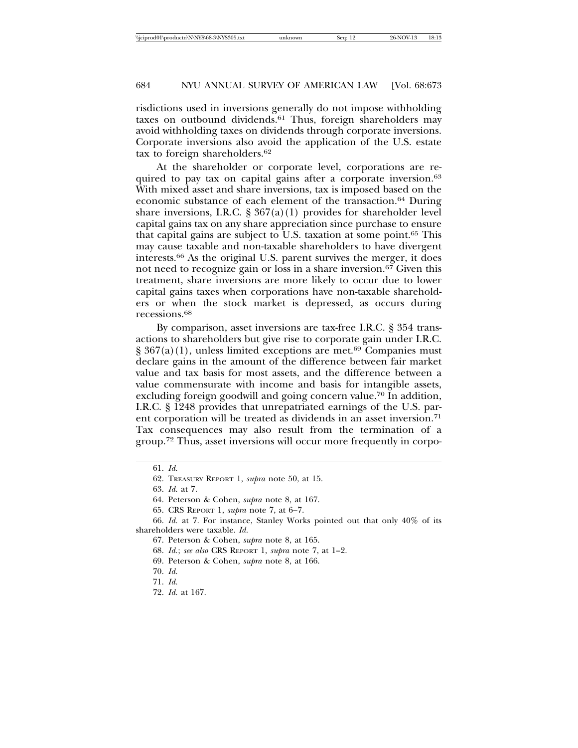risdictions used in inversions generally do not impose withholding taxes on outbound dividends.61 Thus, foreign shareholders may avoid withholding taxes on dividends through corporate inversions. Corporate inversions also avoid the application of the U.S. estate tax to foreign shareholders.62

At the shareholder or corporate level, corporations are required to pay tax on capital gains after a corporate inversion.<sup>63</sup> With mixed asset and share inversions, tax is imposed based on the economic substance of each element of the transaction.64 During share inversions, I.R.C.  $\S 367(a)(1)$  provides for shareholder level capital gains tax on any share appreciation since purchase to ensure that capital gains are subject to U.S. taxation at some point.65 This may cause taxable and non-taxable shareholders to have divergent interests.66 As the original U.S. parent survives the merger, it does not need to recognize gain or loss in a share inversion.67 Given this treatment, share inversions are more likely to occur due to lower capital gains taxes when corporations have non-taxable shareholders or when the stock market is depressed, as occurs during recessions.68

By comparison, asset inversions are tax-free I.R.C. § 354 transactions to shareholders but give rise to corporate gain under I.R.C.  $\S 367(a)(1)$ , unless limited exceptions are met.<sup>69</sup> Companies must declare gains in the amount of the difference between fair market value and tax basis for most assets, and the difference between a value commensurate with income and basis for intangible assets, excluding foreign goodwill and going concern value.<sup>70</sup> In addition, I.R.C. § 1248 provides that unrepatriated earnings of the U.S. parent corporation will be treated as dividends in an asset inversion.<sup>71</sup> Tax consequences may also result from the termination of a group.72 Thus, asset inversions will occur more frequently in corpo-

<sup>61.</sup> *Id.*

<sup>62.</sup> TREASURY REPORT 1, *supra* note 50, at 15.

<sup>63.</sup> *Id.* at 7.

<sup>64.</sup> Peterson & Cohen, *supra* note 8, at 167.

<sup>65.</sup> CRS REPORT 1, *supra* note 7, at 6–7.

<sup>66.</sup> *Id.* at 7. For instance, Stanley Works pointed out that only 40% of its shareholders were taxable. *Id.*

<sup>67.</sup> Peterson & Cohen, *supra* note 8, at 165.

<sup>68.</sup> *Id.*; *see also* CRS REPORT 1, *supra* note 7, at 1–2.

<sup>69.</sup> Peterson & Cohen, *supra* note 8, at 166.

<sup>70.</sup> *Id.*

<sup>71.</sup> *Id.*

<sup>72.</sup> *Id.* at 167.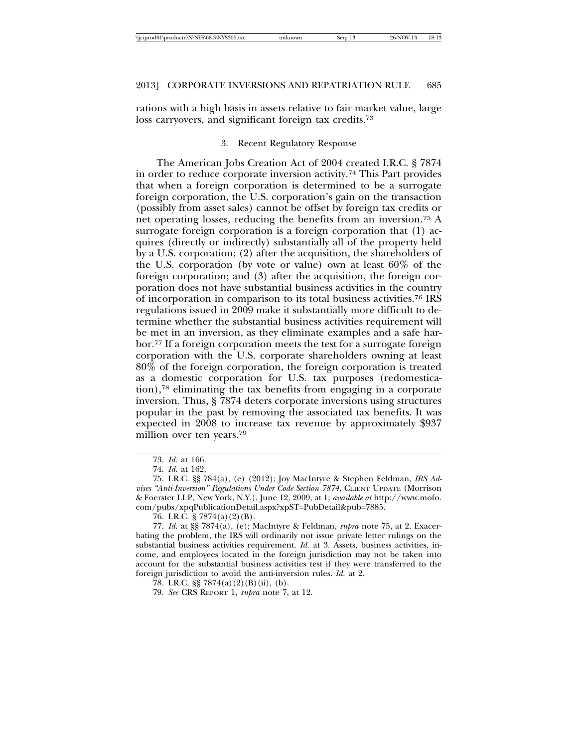rations with a high basis in assets relative to fair market value, large loss carryovers, and significant foreign tax credits.<sup>73</sup>

#### 3. Recent Regulatory Response

The American Jobs Creation Act of 2004 created I.R.C. § 7874 in order to reduce corporate inversion activity.74 This Part provides that when a foreign corporation is determined to be a surrogate foreign corporation, the U.S. corporation's gain on the transaction (possibly from asset sales) cannot be offset by foreign tax credits or net operating losses, reducing the benefits from an inversion.75 A surrogate foreign corporation is a foreign corporation that (1) acquires (directly or indirectly) substantially all of the property held by a U.S. corporation; (2) after the acquisition, the shareholders of the U.S. corporation (by vote or value) own at least 60% of the foreign corporation; and (3) after the acquisition, the foreign corporation does not have substantial business activities in the country of incorporation in comparison to its total business activities.76 IRS regulations issued in 2009 make it substantially more difficult to determine whether the substantial business activities requirement will be met in an inversion, as they eliminate examples and a safe harbor.77 If a foreign corporation meets the test for a surrogate foreign corporation with the U.S. corporate shareholders owning at least 80% of the foreign corporation, the foreign corporation is treated as a domestic corporation for U.S. tax purposes (redomestication),78 eliminating the tax benefits from engaging in a corporate inversion. Thus, § 7874 deters corporate inversions using structures popular in the past by removing the associated tax benefits. It was expected in 2008 to increase tax revenue by approximately \$937 million over ten years.79

<sup>73.</sup> *Id.* at 166.

<sup>74.</sup> *Id.* at 162.

<sup>75.</sup> I.R.C. §§ 784(a), (e) (2012); Joy MacIntyre & Stephen Feldman, *IRS Advises "Anti-Inversion" Regulations Under Code Section 7874*, CLIENT UPDATE (Morrison & Foerster LLP, New York, N.Y.), June 12, 2009, at 1; *available at* http://www.mofo. com/pubs/xpqPublicationDetail.aspx?xpST=PubDetail&pub=7885.

<sup>76.</sup> I.R.C.  $\S$  7874(a)(2)(B).

<sup>77.</sup> *Id.* at §§ 7874(a), (e); MacIntyre & Feldman, *supra* note 75, at 2. Exacerbating the problem, the IRS will ordinarily not issue private letter rulings on the substantial business activities requirement. *Id.* at 3. Assets, business activities, income, and employees located in the foreign jurisdiction may not be taken into account for the substantial business activities test if they were transferred to the foreign jurisdiction to avoid the anti-inversion rules. *Id.* at 2.

<sup>78.</sup> I.R.C. §§ 7874(a)(2)(B)(ii), (b).

<sup>79.</sup> *See* CRS REPORT 1, *supra* note 7, at 12.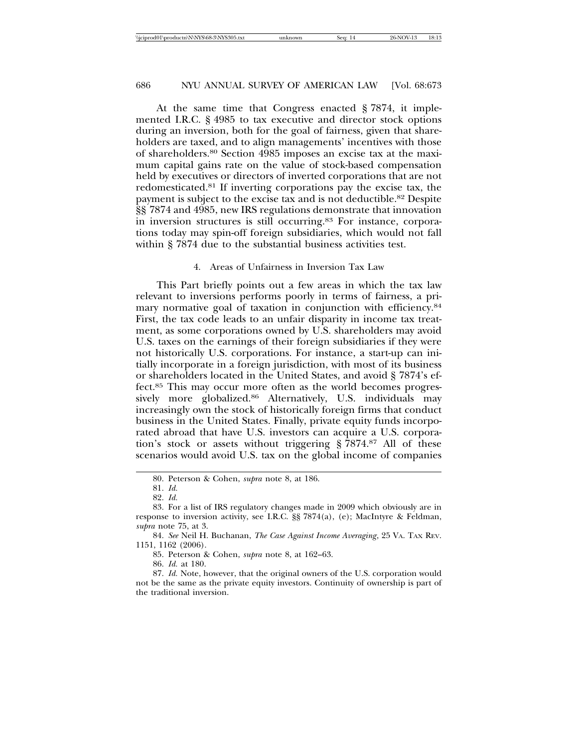At the same time that Congress enacted § 7874, it implemented I.R.C. § 4985 to tax executive and director stock options during an inversion, both for the goal of fairness, given that shareholders are taxed, and to align managements' incentives with those of shareholders.80 Section 4985 imposes an excise tax at the maximum capital gains rate on the value of stock-based compensation held by executives or directors of inverted corporations that are not redomesticated.81 If inverting corporations pay the excise tax, the payment is subject to the excise tax and is not deductible.82 Despite §§ 7874 and 4985, new IRS regulations demonstrate that innovation in inversion structures is still occurring.83 For instance, corporations today may spin-off foreign subsidiaries, which would not fall within § 7874 due to the substantial business activities test.

#### 4. Areas of Unfairness in Inversion Tax Law

This Part briefly points out a few areas in which the tax law relevant to inversions performs poorly in terms of fairness, a primary normative goal of taxation in conjunction with efficiency.<sup>84</sup> First, the tax code leads to an unfair disparity in income tax treatment, as some corporations owned by U.S. shareholders may avoid U.S. taxes on the earnings of their foreign subsidiaries if they were not historically U.S. corporations. For instance, a start-up can initially incorporate in a foreign jurisdiction, with most of its business or shareholders located in the United States, and avoid § 7874's effect.85 This may occur more often as the world becomes progressively more globalized.86 Alternatively, U.S. individuals may increasingly own the stock of historically foreign firms that conduct business in the United States. Finally, private equity funds incorporated abroad that have U.S. investors can acquire a U.S. corporation's stock or assets without triggering § 7874.87 All of these scenarios would avoid U.S. tax on the global income of companies

<sup>80.</sup> Peterson & Cohen, *supra* note 8, at 186.

<sup>81.</sup> *Id.*

<sup>82.</sup> *Id.*

<sup>83.</sup> For a list of IRS regulatory changes made in 2009 which obviously are in response to inversion activity, see I.R.C. §§ 7874(a), (e); MacIntyre & Feldman, *supra* note 75, at 3.

<sup>84.</sup> *See* Neil H. Buchanan, *The Case Against Income Averaging*, 25 VA. TAX REV. 1151, 1162 (2006).

<sup>85.</sup> Peterson & Cohen, *supra* note 8, at 162–63.

<sup>86.</sup> *Id.* at 180.

<sup>87.</sup> *Id.* Note, however, that the original owners of the U.S. corporation would not be the same as the private equity investors. Continuity of ownership is part of the traditional inversion.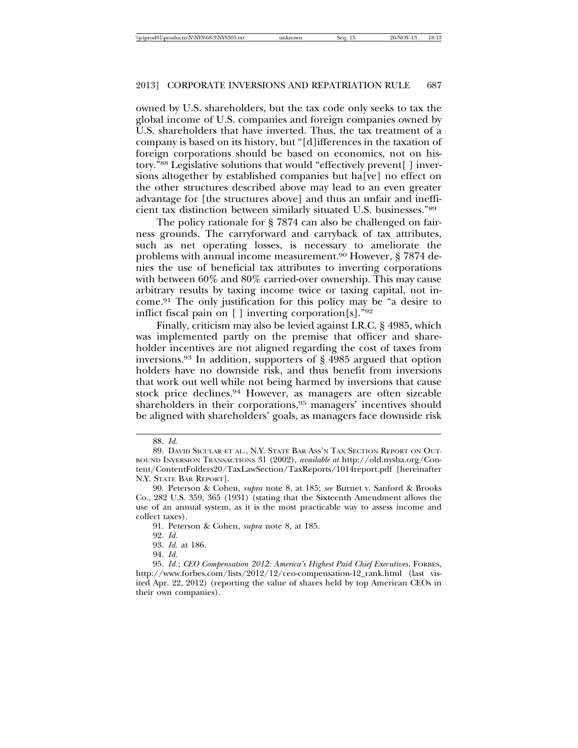owned by U.S. shareholders, but the tax code only seeks to tax the global income of U.S. companies and foreign companies owned by U.S. shareholders that have inverted. Thus, the tax treatment of a company is based on its history, but "[d]ifferences in the taxation of foreign corporations should be based on economics, not on history."88 Legislative solutions that would "effectively prevent[ ] inversions altogether by established companies but ha[ve] no effect on the other structures described above may lead to an even greater advantage for [the structures above] and thus an unfair and inefficient tax distinction between similarly situated U.S. businesses."89

The policy rationale for § 7874 can also be challenged on fairness grounds. The carryforward and carryback of tax attributes, such as net operating losses, is necessary to ameliorate the problems with annual income measurement.90 However, § 7874 denies the use of beneficial tax attributes to inverting corporations with between 60% and 80% carried-over ownership. This may cause arbitrary results by taxing income twice or taxing capital, not income.91 The only justification for this policy may be "a desire to inflict fiscal pain on [ ] inverting corporation[s]."92

Finally, criticism may also be levied against I.R.C. § 4985, which was implemented partly on the premise that officer and shareholder incentives are not aligned regarding the cost of taxes from inversions.93 In addition, supporters of § 4985 argued that option holders have no downside risk, and thus benefit from inversions that work out well while not being harmed by inversions that cause stock price declines.94 However, as managers are often sizeable shareholders in their corporations,95 managers' incentives should be aligned with shareholders' goals, as managers face downside risk

<sup>88.</sup> *Id.*

<sup>89.</sup> DAVID SICULAR ET AL., N.Y. STATE BAR ASS'N TAX SECTION REPORT ON OUT-BOUND INVERSION TRANSACTIONS 31 (2002), *available at* http://old.nysba.org/Content/ContentFolders20/TaxLawSection/TaxReports/1014report.pdf [hereinafter N.Y. STATE BAR REPORT].

<sup>90.</sup> Peterson & Cohen, *supra* note 8, at 185; *see* Burnet v. Sanford & Brooks Co., 282 U.S. 359, 365 (1931) (stating that the Sixteenth Amendment allows the use of an annual system, as it is the most practicable way to assess income and collect taxes).

<sup>91.</sup> Peterson & Cohen, *supra* note 8, at 185.

<sup>92.</sup> *Id.*

<sup>93.</sup> *Id.* at 186.

<sup>94.</sup> *Id.*

<sup>95.</sup> *Id.*; *CEO Compensation 2012: America's Highest Paid Chief Executives*, FORBES, http://www.forbes.com/lists/2012/12/ceo-compensation-12\_rank.html (last visited Apr. 22, 2012) (reporting the value of shares held by top American CEOs in their own companies).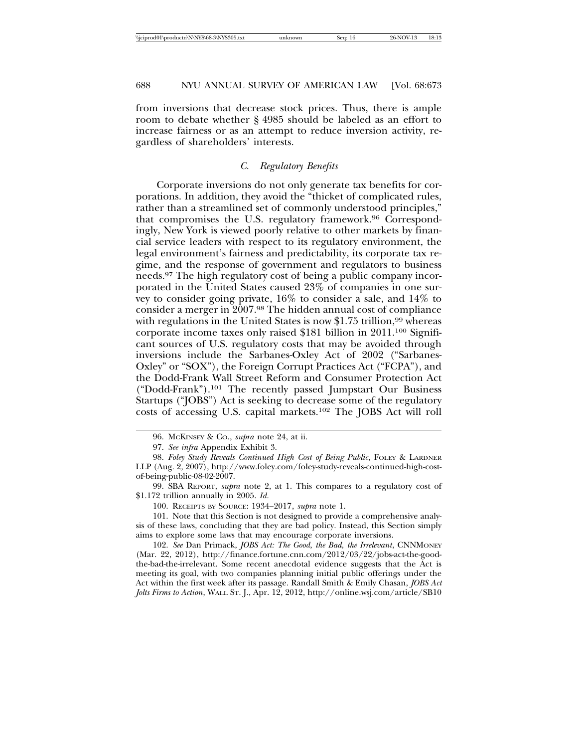from inversions that decrease stock prices. Thus, there is ample room to debate whether § 4985 should be labeled as an effort to increase fairness or as an attempt to reduce inversion activity, regardless of shareholders' interests.

## *C. Regulatory Benefits*

Corporate inversions do not only generate tax benefits for corporations. In addition, they avoid the "thicket of complicated rules, rather than a streamlined set of commonly understood principles," that compromises the U.S. regulatory framework.96 Correspondingly, New York is viewed poorly relative to other markets by financial service leaders with respect to its regulatory environment, the legal environment's fairness and predictability, its corporate tax regime, and the response of government and regulators to business needs.97 The high regulatory cost of being a public company incorporated in the United States caused 23% of companies in one survey to consider going private, 16% to consider a sale, and 14% to consider a merger in 2007.98 The hidden annual cost of compliance with regulations in the United States is now  $$1.75$  trillion,<sup>99</sup> whereas corporate income taxes only raised \$181 billion in 2011.100 Significant sources of U.S. regulatory costs that may be avoided through inversions include the Sarbanes-Oxley Act of 2002 ("Sarbanes-Oxley" or "SOX"), the Foreign Corrupt Practices Act ("FCPA"), and the Dodd-Frank Wall Street Reform and Consumer Protection Act ("Dodd-Frank").101 The recently passed Jumpstart Our Business Startups ("JOBS") Act is seeking to decrease some of the regulatory costs of accessing U.S. capital markets.102 The JOBS Act will roll

101. Note that this Section is not designed to provide a comprehensive analysis of these laws, concluding that they are bad policy. Instead, this Section simply aims to explore some laws that may encourage corporate inversions.

102. *See* Dan Primack, *JOBS Act: The Good, the Bad, the Irrelevant*, CNNMONEY (Mar. 22, 2012), http://finance.fortune.cnn.com/2012/03/22/jobs-act-the-goodthe-bad-the-irrelevant. Some recent anecdotal evidence suggests that the Act is meeting its goal, with two companies planning initial public offerings under the Act within the first week after its passage. Randall Smith & Emily Chasan, *JOBS Act Jolts Firms to Action*, WALL ST. J., Apr. 12, 2012, http://online.wsj.com/article/SB10

<sup>96.</sup> MCKINSEY & CO., *supra* note 24, at ii.

<sup>97.</sup> *See infra* Appendix Exhibit 3.

<sup>98.</sup> *Foley Study Reveals Continued High Cost of Being Public*, FOLEY & LARDNER LLP (Aug. 2, 2007), http://www.foley.com/foley-study-reveals-continued-high-costof-being-public-08-02-2007.

<sup>99.</sup> SBA REPORT, *supra* note 2, at 1. This compares to a regulatory cost of \$1.172 trillion annually in 2005. *Id.*

<sup>100.</sup> RECEIPTS BY SOURCE: 1934–2017, *supra* note 1.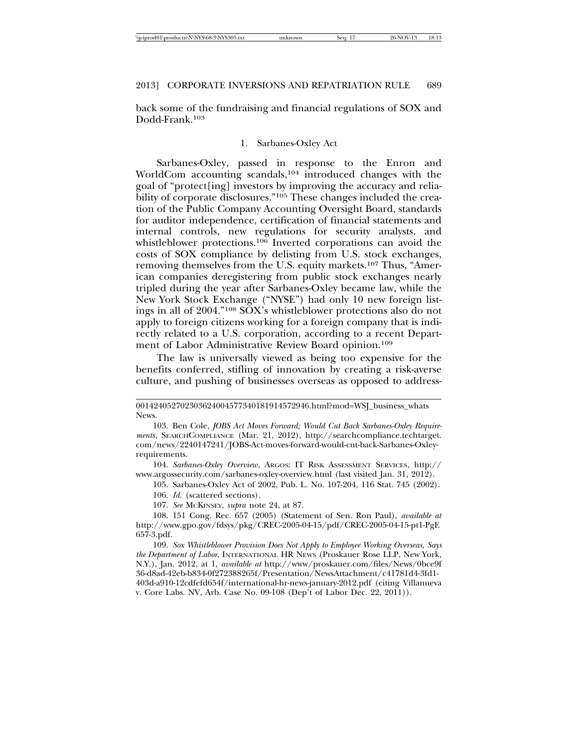back some of the fundraising and financial regulations of SOX and Dodd-Frank.103

#### 1. Sarbanes-Oxley Act

Sarbanes-Oxley, passed in response to the Enron and WorldCom accounting scandals,<sup>104</sup> introduced changes with the goal of "protect[ing] investors by improving the accuracy and reliability of corporate disclosures."<sup>105</sup> These changes included the creation of the Public Company Accounting Oversight Board, standards for auditor independence, certification of financial statements and internal controls, new regulations for security analysts, and whistleblower protections.<sup>106</sup> Inverted corporations can avoid the costs of SOX compliance by delisting from U.S. stock exchanges, removing themselves from the U.S. equity markets.<sup>107</sup> Thus, "American companies deregistering from public stock exchanges nearly tripled during the year after Sarbanes-Oxley became law, while the New York Stock Exchange ("NYSE") had only 10 new foreign listings in all of 2004."108 SOX's whistleblower protections also do not apply to foreign citizens working for a foreign company that is indirectly related to a U.S. corporation, according to a recent Department of Labor Administrative Review Board opinion.109

The law is universally viewed as being too expensive for the benefits conferred, stifling of innovation by creating a risk-averse culture, and pushing of businesses overseas as opposed to address-

104. *Sarbanes-Oxley Overview*, ARGOS: IT RISK ASSESSMENT SERVICES, http:// www.argossecurity.com/sarbanes-oxley-overview.html (last visited Jan. 31, 2012).

105. Sarbanes-Oxley Act of 2002, Pub. L. No. 107-204, 116 Stat. 745 (2002). 106. *Id.* (scattered sections).

107. *See* MCKINSEY, *supra* note 24, at 87.

108. 151 Cong. Rec. 657 (2005) (Statement of Sen. Ron Paul), *available at* http://www.gpo.gov/fdsys/pkg/CREC-2005-04-15/pdf/CREC-2005-04-15-pt1-PgE 657-3.pdf.

109. *Sox Whistleblower Provision Does Not Apply to Employee Working Overseas, Says the Department of Labor*, INTERNATIONAL HR NEWS (Proskauer Rose LLP, New York, N.Y.), Jan. 2012, at 1, *available at* http://www/proskauer.com/files/News/0bce9f 36-d8ad-42eb-b834-0f272388265f/Presentation/NewsAttachment/c41781d4-3fd1- 403d-a910-12cdfefd654f/international-hr-news-january-2012.pdf (citing Villanueva v. Core Labs. NV, Arb. Case No. 09-108 (Dep't of Labor Dec. 22, 2011)).

<sup>001424052702303624004577340181914572946.</sup>html?mod=WSJ\_business\_whats News.

<sup>103.</sup> Ben Cole, *JOBS Act Moves Forward; Would Cut Back Sarbanes-Oxley Requirements*, SEARCHCOMPLIANCE (Mar. 21, 2012), http://searchcompliance.techtarget. com/news/2240147241/JOBS-Act-moves-forward-would-cut-back-Sarbanes-Oxleyrequirements.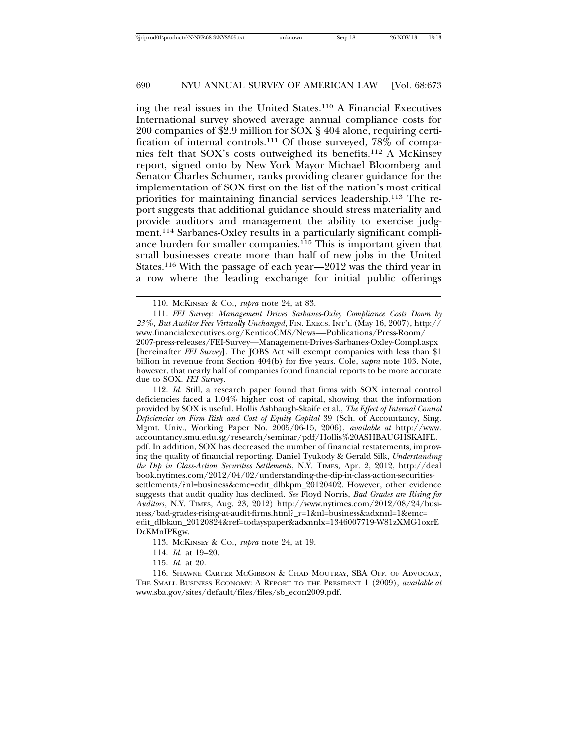ing the real issues in the United States.110 A Financial Executives International survey showed average annual compliance costs for 200 companies of \$2.9 million for SOX § 404 alone, requiring certification of internal controls.111 Of those surveyed, 78% of companies felt that SOX's costs outweighed its benefits.112 A McKinsey report, signed onto by New York Mayor Michael Bloomberg and Senator Charles Schumer, ranks providing clearer guidance for the implementation of SOX first on the list of the nation's most critical priorities for maintaining financial services leadership.113 The report suggests that additional guidance should stress materiality and provide auditors and management the ability to exercise judgment.114 Sarbanes-Oxley results in a particularly significant compliance burden for smaller companies.115 This is important given that small businesses create more than half of new jobs in the United States.116 With the passage of each year—2012 was the third year in a row where the leading exchange for initial public offerings

112. *Id.* Still, a research paper found that firms with SOX internal control deficiencies faced a 1.04% higher cost of capital, showing that the information provided by SOX is useful. Hollis Ashbaugh-Skaife et al., *The Effect of Internal Control Deficiencies on Firm Risk and Cost of Equity Capital* 39 (Sch. of Accountancy, Sing. Mgmt. Univ., Working Paper No. 2005/06-15, 2006), *available at* http://www. accountancy.smu.edu.sg/research/seminar/pdf/Hollis%20ASHBAUGHSKAIFE. pdf. In addition, SOX has decreased the number of financial restatements, improving the quality of financial reporting. Daniel Tyukody & Gerald Silk, *Understanding the Dip in Class-Action Securities Settlements*, N.Y. TIMES, Apr. 2, 2012, http://deal book.nytimes.com/2012/04/02/understanding-the-dip-in-class-action-securitiessettlements/?nl=business&emc=edit\_dlbkpm\_20120402. However, other evidence suggests that audit quality has declined. *See* Floyd Norris, *Bad Grades are Rising for Auditors*, N.Y. TIMES, Aug. 23, 2012) http://www.nytimes.com/2012/08/24/business/bad-grades-rising-at-audit-firms.html?\_r=1&nl=business&adxnnl=1&emc= edit\_dlbkam\_20120824&ref=todayspaper&adxnnlx=1346007719-W81zXMG1oxrE DcKMnIPKgw.

113. MCKINSEY & CO., *supra* note 24, at 19.

- 114. *Id.* at 19–20.
- 115. *Id.* at 20.

116. SHAWNE CARTER MCGIBBON & CHAD MOUTRAY, SBA OFF. OF ADVOCACY, THE SMALL BUSINESS ECONOMY: A REPORT TO THE PRESIDENT 1 (2009), *available at* www.sba.gov/sites/default/files/files/sb\_econ2009.pdf.

<sup>110.</sup> MCKINSEY & CO., *supra* note 24, at 83.

<sup>111.</sup> *FEI Survey: Management Drives Sarbanes-Oxley Compliance Costs Down by 23%, But Auditor Fees Virtually Unchanged*, FIN. EXECS. INT'L (May 16, 2007), http:// www.financialexecutives.org/KenticoCMS/News—-Publications/Press-Room/ 2007-press-releases/FEI-Survey—Management-Drives-Sarbanes-Oxley-Compl.aspx [hereinafter *FEI Survey*]. The JOBS Act will exempt companies with less than \$1 billion in revenue from Section 404(b) for five years. Cole, *supra* note 103. Note, however, that nearly half of companies found financial reports to be more accurate due to SOX. *FEI Survey*.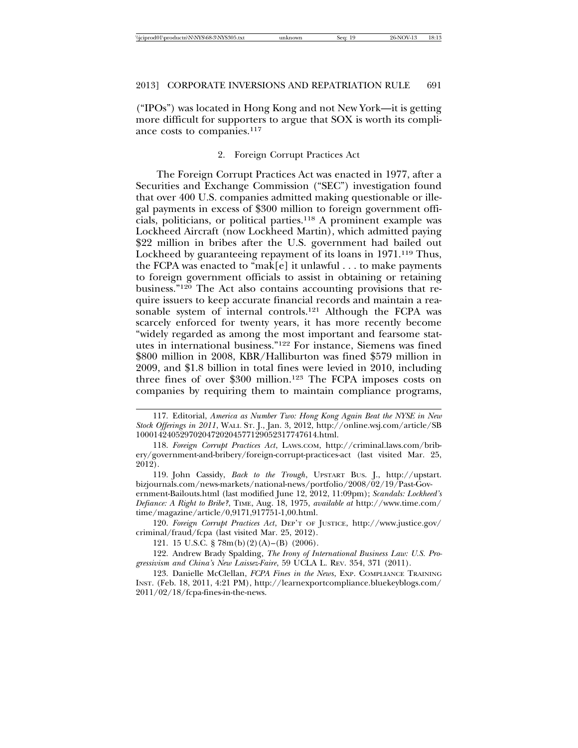("IPOs") was located in Hong Kong and not New York—it is getting more difficult for supporters to argue that SOX is worth its compliance costs to companies.<sup>117</sup>

### 2. Foreign Corrupt Practices Act

The Foreign Corrupt Practices Act was enacted in 1977, after a Securities and Exchange Commission ("SEC") investigation found that over 400 U.S. companies admitted making questionable or illegal payments in excess of \$300 million to foreign government officials, politicians, or political parties.118 A prominent example was Lockheed Aircraft (now Lockheed Martin), which admitted paying \$22 million in bribes after the U.S. government had bailed out Lockheed by guaranteeing repayment of its loans in 1971.<sup>119</sup> Thus, the FCPA was enacted to "mak[e] it unlawful  $\dots$  to make payments to foreign government officials to assist in obtaining or retaining business."120 The Act also contains accounting provisions that require issuers to keep accurate financial records and maintain a reasonable system of internal controls.121 Although the FCPA was scarcely enforced for twenty years, it has more recently become "widely regarded as among the most important and fearsome statutes in international business."122 For instance, Siemens was fined \$800 million in 2008, KBR/Halliburton was fined \$579 million in 2009, and \$1.8 billion in total fines were levied in 2010, including three fines of over \$300 million.<sup>123</sup> The FCPA imposes costs on companies by requiring them to maintain compliance programs,

119. John Cassidy, *Back to the Trough*, UPSTART BUS. J., http://upstart. bizjournals.com/news-markets/national-news/portfolio/2008/02/19/Past-Government-Bailouts.html (last modified June 12, 2012, 11:09pm); *Scandals: Lockheed's Defiance: A Right to Bribe?*, TIME, Aug. 18, 1975, *available at* http://www.time.com/ time/magazine/article/0,9171,917751-1,00.html.

120. *Foreign Corrupt Practices Act*, DEP'T OF JUSTICE, http://www.justice.gov/ criminal/fraud/fcpa (last visited Mar. 25, 2012).

121. 15 U.S.C. § 78m(b)(2)(A)–(B) (2006).

122. Andrew Brady Spalding, *The Irony of International Business Law: U.S. Progressivism and China's New Laissez-Faire*, 59 UCLA L. REV. 354, 371 (2011).

123. Danielle McClellan, *FCPA Fines in the News*, EXP. COMPLIANCE TRAINING INST. (Feb. 18, 2011, 4:21 PM), http://learnexportcompliance.bluekeyblogs.com/ 2011/02/18/fcpa-fines-in-the-news.

<sup>117.</sup> Editorial, *America as Number Two: Hong Kong Again Beat the NYSE in New Stock Offerings in 2011*, WALL ST. J., Jan. 3, 2012, http://online.wsj.com/article/SB 10001424052970204720204577129052317747614.html.

<sup>118.</sup> *Foreign Corrupt Practices Act*, LAWS.COM, http://criminal.laws.com/bribery/government-and-bribery/foreign-corrupt-practices-act (last visited Mar. 25, 2012).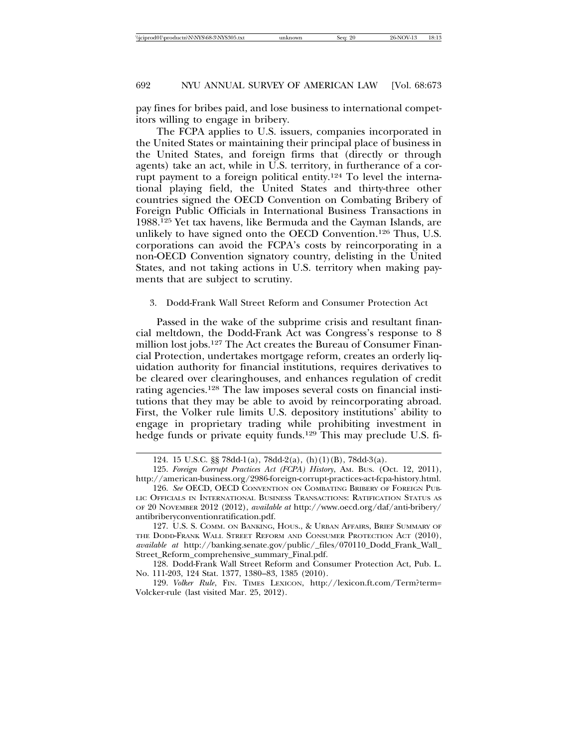pay fines for bribes paid, and lose business to international competitors willing to engage in bribery.

The FCPA applies to U.S. issuers, companies incorporated in the United States or maintaining their principal place of business in the United States, and foreign firms that (directly or through agents) take an act, while in U.S. territory, in furtherance of a corrupt payment to a foreign political entity.124 To level the international playing field, the United States and thirty-three other countries signed the OECD Convention on Combating Bribery of Foreign Public Officials in International Business Transactions in 1988.125 Yet tax havens, like Bermuda and the Cayman Islands, are unlikely to have signed onto the OECD Convention.126 Thus, U.S. corporations can avoid the FCPA's costs by reincorporating in a non-OECD Convention signatory country, delisting in the United States, and not taking actions in U.S. territory when making payments that are subject to scrutiny.

#### 3. Dodd-Frank Wall Street Reform and Consumer Protection Act

Passed in the wake of the subprime crisis and resultant financial meltdown, the Dodd-Frank Act was Congress's response to 8 million lost jobs.127 The Act creates the Bureau of Consumer Financial Protection, undertakes mortgage reform, creates an orderly liquidation authority for financial institutions, requires derivatives to be cleared over clearinghouses, and enhances regulation of credit rating agencies.128 The law imposes several costs on financial institutions that they may be able to avoid by reincorporating abroad. First, the Volker rule limits U.S. depository institutions' ability to engage in proprietary trading while prohibiting investment in hedge funds or private equity funds.<sup>129</sup> This may preclude U.S. fi-

128. Dodd-Frank Wall Street Reform and Consumer Protection Act, Pub. L. No. 111-203, 124 Stat. 1377, 1380–83, 1385 (2010).

<sup>124. 15</sup> U.S.C. §§ 78dd-1(a), 78dd-2(a), (h)(1)(B), 78dd-3(a).

<sup>125.</sup> *Foreign Corrupt Practices Act (FCPA) History*, AM. BUS. (Oct. 12, 2011), http://american-business.org/2986-foreign-corrupt-practices-act-fcpa-history.html.

<sup>126.</sup> *See* OECD, OECD CONVENTION ON COMBATING BRIBERY OF FOREIGN PUB-LIC OFFICIALS IN INTERNATIONAL BUSINESS TRANSACTIONS: RATIFICATION STATUS AS OF 20 NOVEMBER 2012 (2012), *available at* http://www.oecd.org/daf/anti-bribery/ antibriberyconventionratification.pdf.

<sup>127.</sup> U.S. S. COMM. ON BANKING, HOUS., & URBAN AFFAIRS, BRIEF SUMMARY OF THE DODD-FRANK WALL STREET REFORM AND CONSUMER PROTECTION ACT (2010), *available at* http://banking.senate.gov/public/\_files/070110\_Dodd\_Frank\_Wall\_ Street\_Reform\_comprehensive\_summary\_Final.pdf.

<sup>129.</sup> *Volker Rule*, FIN. TIMES LEXICON, http://lexicon.ft.com/Term?term= Volcker-rule (last visited Mar. 25, 2012).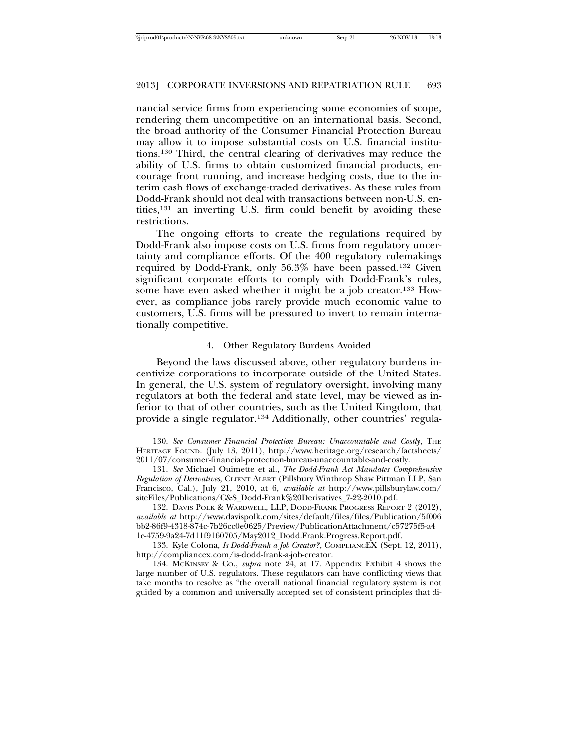nancial service firms from experiencing some economies of scope, rendering them uncompetitive on an international basis. Second, the broad authority of the Consumer Financial Protection Bureau may allow it to impose substantial costs on U.S. financial institutions.130 Third, the central clearing of derivatives may reduce the ability of U.S. firms to obtain customized financial products, encourage front running, and increase hedging costs, due to the interim cash flows of exchange-traded derivatives. As these rules from Dodd-Frank should not deal with transactions between non-U.S. entities,131 an inverting U.S. firm could benefit by avoiding these restrictions.

The ongoing efforts to create the regulations required by Dodd-Frank also impose costs on U.S. firms from regulatory uncertainty and compliance efforts. Of the 400 regulatory rulemakings required by Dodd-Frank, only 56.3% have been passed.132 Given significant corporate efforts to comply with Dodd-Frank's rules, some have even asked whether it might be a job creator.133 However, as compliance jobs rarely provide much economic value to customers, U.S. firms will be pressured to invert to remain internationally competitive.

#### 4. Other Regulatory Burdens Avoided

Beyond the laws discussed above, other regulatory burdens incentivize corporations to incorporate outside of the United States. In general, the U.S. system of regulatory oversight, involving many regulators at both the federal and state level, may be viewed as inferior to that of other countries, such as the United Kingdom, that provide a single regulator.134 Additionally, other countries' regula-

132. DAVIS POLK & WARDWELL, LLP, DODD-FRANK PROGRESS REPORT 2 (2012), *available at* http://www.davispolk.com/sites/default/files/files/Publication/5f006 bb2-86f9-4318-874c-7b26cc0e0625/Preview/PublicationAttachment/c57275f5-a4 1e-4759-9a24-7d11f9160705/May2012\_Dodd.Frank.Progress.Report.pdf.

133. Kyle Colona, *Is Dodd-Frank a Job Creator?*, COMPLIANCEX (Sept. 12, 2011), http://compliancex.com/is-dodd-frank-a-job-creator.

134. MCKINSEY & CO., *supra* note 24, at 17. Appendix Exhibit 4 shows the large number of U.S. regulators. These regulators can have conflicting views that take months to resolve as "the overall national financial regulatory system is not guided by a common and universally accepted set of consistent principles that di-

<sup>130.</sup> *See Consumer Financial Protection Bureau: Unaccountable and Costly*, THE HERITAGE FOUND. (July 13, 2011), http://www.heritage.org/research/factsheets/ 2011/07/consumer-financial-protection-bureau-unaccountable-and-costly.

<sup>131.</sup> *See* Michael Ouimette et al., *The Dodd-Frank Act Mandates Comprehensive Regulation of Derivatives*, CLIENT ALERT (Pillsbury Winthrop Shaw Pittman LLP, San Francisco, Cal.), July 21, 2010, at 6, *available at* http://www.pillsburylaw.com/ siteFiles/Publications/C&S\_Dodd-Frank%20Derivatives\_7-22-2010.pdf.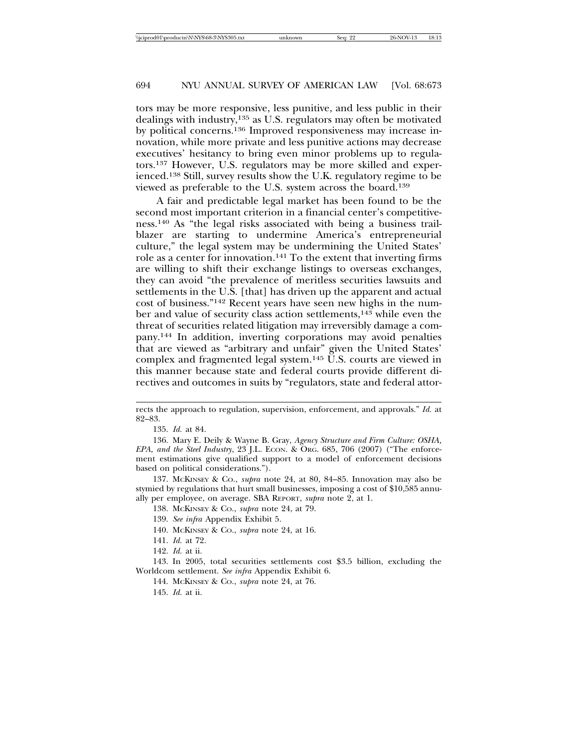tors may be more responsive, less punitive, and less public in their dealings with industry,135 as U.S. regulators may often be motivated by political concerns.136 Improved responsiveness may increase innovation, while more private and less punitive actions may decrease executives' hesitancy to bring even minor problems up to regulators.137 However, U.S. regulators may be more skilled and experienced.138 Still, survey results show the U.K. regulatory regime to be viewed as preferable to the U.S. system across the board.139

A fair and predictable legal market has been found to be the second most important criterion in a financial center's competitiveness.140 As "the legal risks associated with being a business trailblazer are starting to undermine America's entrepreneurial culture," the legal system may be undermining the United States' role as a center for innovation.141 To the extent that inverting firms are willing to shift their exchange listings to overseas exchanges, they can avoid "the prevalence of meritless securities lawsuits and settlements in the U.S. [that] has driven up the apparent and actual cost of business."142 Recent years have seen new highs in the number and value of security class action settlements,143 while even the threat of securities related litigation may irreversibly damage a company.144 In addition, inverting corporations may avoid penalties that are viewed as "arbitrary and unfair" given the United States' complex and fragmented legal system.145 U.S. courts are viewed in this manner because state and federal courts provide different directives and outcomes in suits by "regulators, state and federal attor-

- 140. MCKINSEY & CO., *supra* note 24, at 16.
- 141. *Id.* at 72.
- 142. *Id.* at ii.

rects the approach to regulation, supervision, enforcement, and approvals." *Id.* at 82–83.

<sup>135.</sup> *Id.* at 84.

<sup>136.</sup> Mary E. Deily & Wayne B. Gray, *Agency Structure and Firm Culture: OSHA, EPA, and the Steel Industry*, 23 J.L. ECON. & ORG. 685, 706 (2007) ("The enforcement estimations give qualified support to a model of enforcement decisions based on political considerations.").

<sup>137.</sup> MCKINSEY & CO., *supra* note 24, at 80, 84–85. Innovation may also be stymied by regulations that hurt small businesses, imposing a cost of \$10,585 annually per employee, on average. SBA REPORT, *supra* note 2, at 1.

<sup>138.</sup> MCKINSEY & CO., *supra* note 24, at 79.

<sup>139.</sup> *See infra* Appendix Exhibit 5.

<sup>143.</sup> In 2005, total securities settlements cost \$3.5 billion, excluding the Worldcom settlement. *See infra* Appendix Exhibit 6.

<sup>144.</sup> MCKINSEY & CO., *supra* note 24, at 76.

<sup>145.</sup> *Id.* at ii.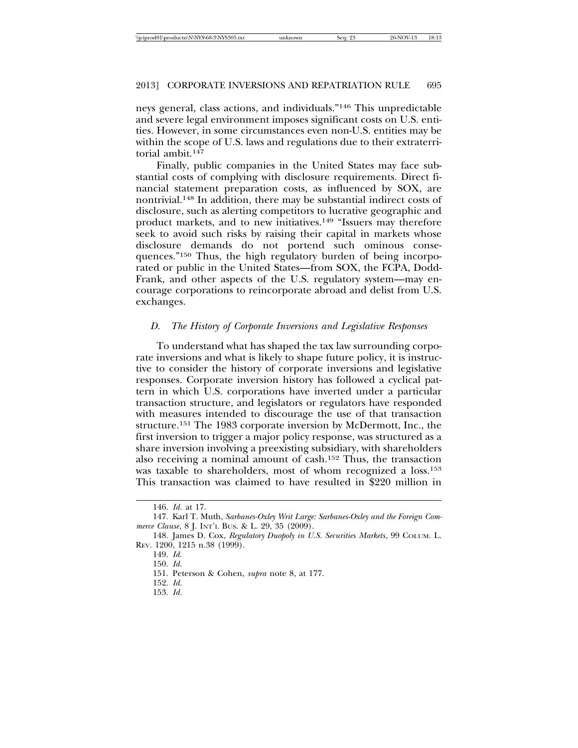neys general, class actions, and individuals."146 This unpredictable and severe legal environment imposes significant costs on U.S. entities. However, in some circumstances even non-U.S. entities may be within the scope of U.S. laws and regulations due to their extraterritorial ambit.<sup>147</sup>

Finally, public companies in the United States may face substantial costs of complying with disclosure requirements. Direct financial statement preparation costs, as influenced by SOX, are nontrivial.148 In addition, there may be substantial indirect costs of disclosure, such as alerting competitors to lucrative geographic and product markets, and to new initiatives.149 "Issuers may therefore seek to avoid such risks by raising their capital in markets whose disclosure demands do not portend such ominous consequences."150 Thus, the high regulatory burden of being incorporated or public in the United States—from SOX, the FCPA, Dodd-Frank, and other aspects of the U.S. regulatory system—may encourage corporations to reincorporate abroad and delist from U.S. exchanges.

### *D. The History of Corporate Inversions and Legislative Responses*

To understand what has shaped the tax law surrounding corporate inversions and what is likely to shape future policy, it is instructive to consider the history of corporate inversions and legislative responses. Corporate inversion history has followed a cyclical pattern in which U.S. corporations have inverted under a particular transaction structure, and legislators or regulators have responded with measures intended to discourage the use of that transaction structure.151 The 1983 corporate inversion by McDermott, Inc., the first inversion to trigger a major policy response, was structured as a share inversion involving a preexisting subsidiary, with shareholders also receiving a nominal amount of cash.152 Thus, the transaction was taxable to shareholders, most of whom recognized a loss.<sup>153</sup> This transaction was claimed to have resulted in \$220 million in

<sup>146.</sup> *Id.* at 17.

<sup>147.</sup> Karl T. Muth, *Sarbanes-Oxley Writ Large: Sarbanes-Oxley and the Foreign Commerce Clause*, 8 J. INT'L BUS. & L. 29, 35 (2009).

<sup>148.</sup> James D. Cox, *Regulatory Duopoly in U.S. Securities Markets*, 99 COLUM. L. REV. 1200, 1215 n.38 (1999).

<sup>149.</sup> *Id.*

<sup>150.</sup> *Id.*

<sup>151.</sup> Peterson & Cohen, *supra* note 8, at 177.

<sup>152.</sup> *Id.*

<sup>153.</sup> *Id.*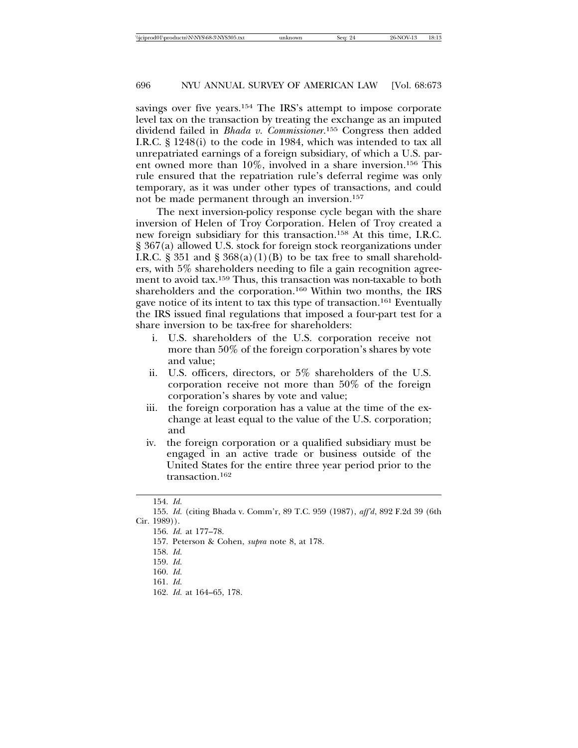savings over five years.<sup>154</sup> The IRS's attempt to impose corporate level tax on the transaction by treating the exchange as an imputed dividend failed in *Bhada v. Commissioner*. 155 Congress then added I.R.C. § 1248(i) to the code in 1984, which was intended to tax all unrepatriated earnings of a foreign subsidiary, of which a U.S. parent owned more than 10%, involved in a share inversion.156 This rule ensured that the repatriation rule's deferral regime was only temporary, as it was under other types of transactions, and could not be made permanent through an inversion.157

The next inversion-policy response cycle began with the share inversion of Helen of Troy Corporation. Helen of Troy created a new foreign subsidiary for this transaction.158 At this time, I.R.C. § 367(a) allowed U.S. stock for foreign stock reorganizations under I.R.C. § 351 and § 368(a)(1)(B) to be tax free to small shareholders, with 5% shareholders needing to file a gain recognition agreement to avoid tax.159 Thus, this transaction was non-taxable to both shareholders and the corporation.160 Within two months, the IRS gave notice of its intent to tax this type of transaction.161 Eventually the IRS issued final regulations that imposed a four-part test for a share inversion to be tax-free for shareholders:

- i. U.S. shareholders of the U.S. corporation receive not more than 50% of the foreign corporation's shares by vote and value;
- ii. U.S. officers, directors, or 5% shareholders of the U.S. corporation receive not more than 50% of the foreign corporation's shares by vote and value;
- iii. the foreign corporation has a value at the time of the exchange at least equal to the value of the U.S. corporation; and
- iv. the foreign corporation or a qualified subsidiary must be engaged in an active trade or business outside of the United States for the entire three year period prior to the transaction.162

<sup>154.</sup> *Id.*

<sup>155.</sup> *Id.* (citing Bhada v. Comm'r, 89 T.C. 959 (1987), *aff'd*, 892 F.2d 39 (6th Cir. 1989)).

<sup>156.</sup> *Id.* at 177–78.

<sup>157.</sup> Peterson & Cohen, *supra* note 8, at 178.

<sup>158.</sup> *Id.*

<sup>159.</sup> *Id.*

<sup>160.</sup> *Id.*

<sup>161.</sup> *Id.*

<sup>162.</sup> *Id.* at 164–65, 178.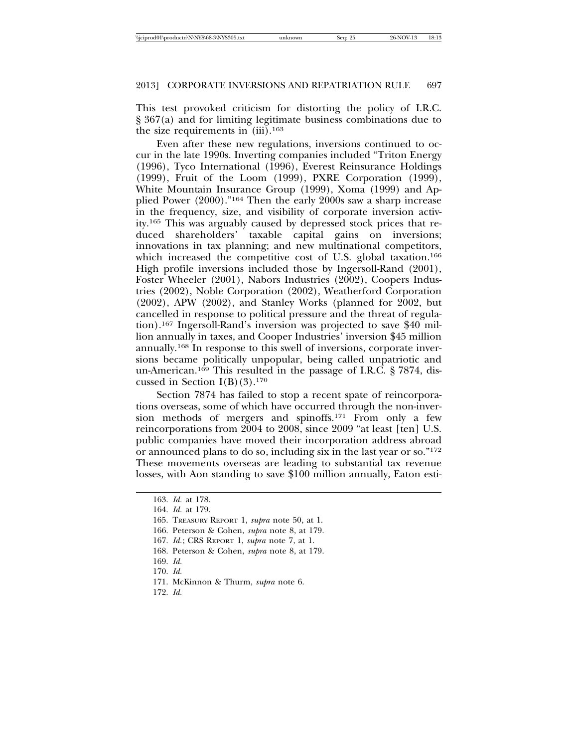This test provoked criticism for distorting the policy of I.R.C. § 367(a) and for limiting legitimate business combinations due to the size requirements in  $(iii).<sup>163</sup>$ 

Even after these new regulations, inversions continued to occur in the late 1990s. Inverting companies included "Triton Energy (1996), Tyco International (1996), Everest Reinsurance Holdings (1999), Fruit of the Loom (1999), PXRE Corporation (1999), White Mountain Insurance Group (1999), Xoma (1999) and Applied Power (2000)."164 Then the early 2000s saw a sharp increase in the frequency, size, and visibility of corporate inversion activity.165 This was arguably caused by depressed stock prices that reduced shareholders' taxable capital gains on inversions; innovations in tax planning; and new multinational competitors, which increased the competitive cost of U.S. global taxation.<sup>166</sup> High profile inversions included those by Ingersoll-Rand (2001), Foster Wheeler (2001), Nabors Industries (2002), Coopers Industries (2002), Noble Corporation (2002), Weatherford Corporation (2002), APW (2002), and Stanley Works (planned for 2002, but cancelled in response to political pressure and the threat of regulation).167 Ingersoll-Rand's inversion was projected to save \$40 million annually in taxes, and Cooper Industries' inversion \$45 million annually.168 In response to this swell of inversions, corporate inversions became politically unpopular, being called unpatriotic and un-American.169 This resulted in the passage of I.R.C. § 7874, discussed in Section  $I(B)(3).<sup>170</sup>$ 

Section 7874 has failed to stop a recent spate of reincorporations overseas, some of which have occurred through the non-inversion methods of mergers and spinoffs.171 From only a few reincorporations from 2004 to 2008, since 2009 "at least [ten] U.S. public companies have moved their incorporation address abroad or announced plans to do so, including six in the last year or so."172 These movements overseas are leading to substantial tax revenue losses, with Aon standing to save \$100 million annually, Eaton esti-

- 168. Peterson & Cohen, *supra* note 8, at 179.
- 169. *Id.*
- 170. *Id.*
- 171. McKinnon & Thurm, *supra* note 6.
- 172. *Id.*

<sup>163.</sup> *Id.* at 178.

<sup>164.</sup> *Id.* at 179.

<sup>165.</sup> TREASURY REPORT 1, *supra* note 50, at 1.

<sup>166.</sup> Peterson & Cohen, *supra* note 8, at 179.

<sup>167.</sup> *Id.*; CRS REPORT 1, *supra* note 7, at 1.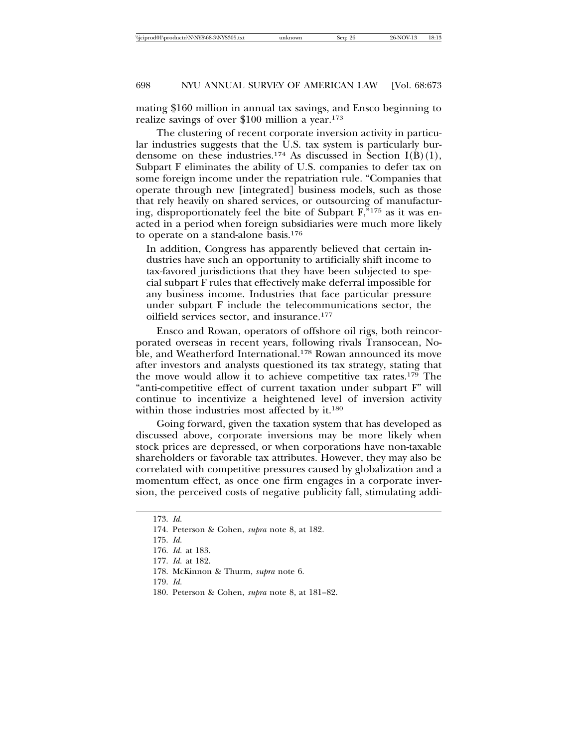mating \$160 million in annual tax savings, and Ensco beginning to realize savings of over \$100 million a year.173

The clustering of recent corporate inversion activity in particular industries suggests that the U.S. tax system is particularly burdensome on these industries.<sup>174</sup> As discussed in Section I(B)(1), Subpart F eliminates the ability of U.S. companies to defer tax on some foreign income under the repatriation rule. "Companies that operate through new [integrated] business models, such as those that rely heavily on shared services, or outsourcing of manufacturing, disproportionately feel the bite of Subpart F,"175 as it was enacted in a period when foreign subsidiaries were much more likely to operate on a stand-alone basis.176

In addition, Congress has apparently believed that certain industries have such an opportunity to artificially shift income to tax-favored jurisdictions that they have been subjected to special subpart F rules that effectively make deferral impossible for any business income. Industries that face particular pressure under subpart F include the telecommunications sector, the oilfield services sector, and insurance.177

Ensco and Rowan, operators of offshore oil rigs, both reincorporated overseas in recent years, following rivals Transocean, Noble, and Weatherford International.<sup>178</sup> Rowan announced its move after investors and analysts questioned its tax strategy, stating that the move would allow it to achieve competitive tax rates.179 The "anti-competitive effect of current taxation under subpart F" will continue to incentivize a heightened level of inversion activity within those industries most affected by it.<sup>180</sup>

Going forward, given the taxation system that has developed as discussed above, corporate inversions may be more likely when stock prices are depressed, or when corporations have non-taxable shareholders or favorable tax attributes. However, they may also be correlated with competitive pressures caused by globalization and a momentum effect, as once one firm engages in a corporate inversion, the perceived costs of negative publicity fall, stimulating addi-

180. Peterson & Cohen, *supra* note 8, at 181–82.

<sup>173.</sup> *Id.*

<sup>174.</sup> Peterson & Cohen, *supra* note 8, at 182.

<sup>175.</sup> *Id.*

<sup>176.</sup> *Id.* at 183.

<sup>177.</sup> *Id.* at 182.

<sup>178.</sup> McKinnon & Thurm, *supra* note 6.

<sup>179.</sup> *Id.*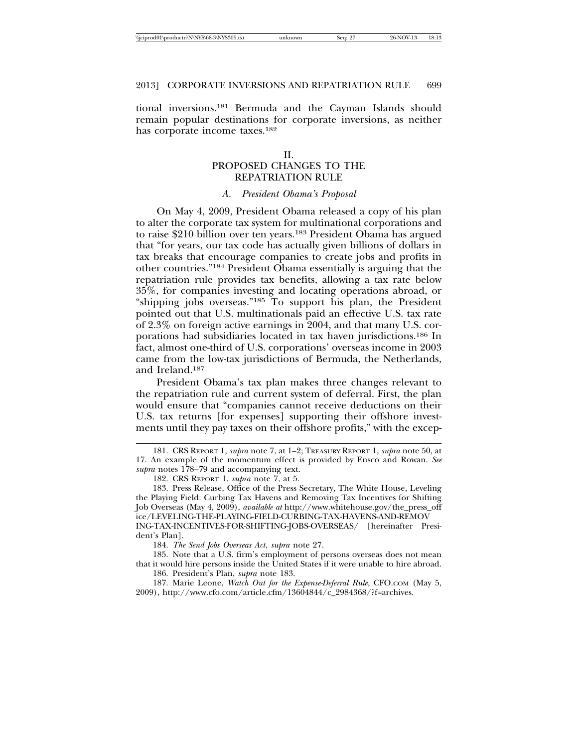|  | \\iciprod01\productn\N\NYS\68-3\NYS305.txt | unknown | Sea: | 26-NOV-13 | 18:13 |
|--|--------------------------------------------|---------|------|-----------|-------|
|--|--------------------------------------------|---------|------|-----------|-------|

tional inversions.181 Bermuda and the Cayman Islands should remain popular destinations for corporate inversions, as neither has corporate income taxes.182

## $II$ . PROPOSED CHANGES TO THE REPATRIATION RULE

## *A. President Obama's Proposal*

On May 4, 2009, President Obama released a copy of his plan to alter the corporate tax system for multinational corporations and to raise \$210 billion over ten years.183 President Obama has argued that "for years, our tax code has actually given billions of dollars in tax breaks that encourage companies to create jobs and profits in other countries."184 President Obama essentially is arguing that the repatriation rule provides tax benefits, allowing a tax rate below 35%, for companies investing and locating operations abroad, or "shipping jobs overseas."185 To support his plan, the President pointed out that U.S. multinationals paid an effective U.S. tax rate of 2.3% on foreign active earnings in 2004, and that many U.S. corporations had subsidiaries located in tax haven jurisdictions.186 In fact, almost one-third of U.S. corporations' overseas income in 2003 came from the low-tax jurisdictions of Bermuda, the Netherlands, and Ireland.187

President Obama's tax plan makes three changes relevant to the repatriation rule and current system of deferral. First, the plan would ensure that "companies cannot receive deductions on their U.S. tax returns [for expenses] supporting their offshore investments until they pay taxes on their offshore profits," with the excep-

184. *The Send Jobs Overseas Act*, *supra* note 27*.*

185. Note that a U.S. firm's employment of persons overseas does not mean that it would hire persons inside the United States if it were unable to hire abroad. 186. President's Plan, *supra* note 183.

187. Marie Leone, *Watch Out for the Expense-Deferral Rule*, CFO.COM (May 5, 2009), http://www.cfo.com/article.cfm/13604844/c\_2984368/?f=archives.

<sup>181.</sup> CRS REPORT 1, *supra* note 7, at 1–2; TREASURY REPORT 1, *supra* note 50, at 17. An example of the momentum effect is provided by Ensco and Rowan. *See supra* notes 178–79 and accompanying text.

<sup>182.</sup> CRS REPORT 1, *supra* note 7, at 5.

<sup>183.</sup> Press Release, Office of the Press Secretary, The White House, Leveling the Playing Field: Curbing Tax Havens and Removing Tax Incentives for Shifting Job Overseas (May 4, 2009), *available at* http://www.whitehouse.gov/the\_press\_off ice/LEVELING-THE-PLAYING-FIELD-CURBING-TAX-HAVENS-AND-REMOV ING-TAX-INCENTIVES-FOR-SHIFTING-JOBS-OVERSEAS/ [hereinafter President's Plan].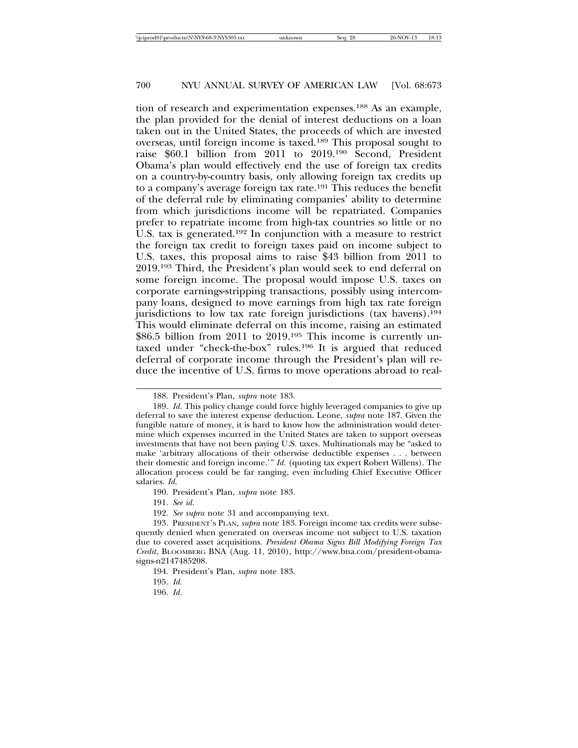tion of research and experimentation expenses.188 As an example, the plan provided for the denial of interest deductions on a loan taken out in the United States, the proceeds of which are invested overseas, until foreign income is taxed.189 This proposal sought to raise \$60.1 billion from 2011 to 2019.190 Second, President Obama's plan would effectively end the use of foreign tax credits on a country-by-country basis, only allowing foreign tax credits up to a company's average foreign tax rate.191 This reduces the benefit of the deferral rule by eliminating companies' ability to determine from which jurisdictions income will be repatriated. Companies prefer to repatriate income from high-tax countries so little or no U.S. tax is generated.<sup>192</sup> In conjunction with a measure to restrict the foreign tax credit to foreign taxes paid on income subject to U.S. taxes, this proposal aims to raise \$43 billion from 2011 to 2019.193 Third, the President's plan would seek to end deferral on some foreign income. The proposal would impose U.S. taxes on corporate earnings-stripping transactions, possibly using intercompany loans, designed to move earnings from high tax rate foreign jurisdictions to low tax rate foreign jurisdictions (tax havens).194 This would eliminate deferral on this income, raising an estimated \$86.5 billion from 2011 to 2019.<sup>195</sup> This income is currently untaxed under "check-the-box" rules.196 It is argued that reduced deferral of corporate income through the President's plan will reduce the incentive of U.S. firms to move operations abroad to real-

191. *See id.*

192. *See supra* note 31 and accompanying text.

195. *Id.*

<sup>188.</sup> President's Plan, *supra* note 183.

<sup>189.</sup> *Id.* This policy change could force highly leveraged companies to give up deferral to save the interest expense deduction. Leone, *supra* note 187. Given the fungible nature of money, it is hard to know how the administration would determine which expenses incurred in the United States are taken to support overseas investments that have not been paying U.S. taxes. Multinationals may be "asked to make 'arbitrary allocations of their otherwise deductible expenses . . . between their domestic and foreign income.'" *Id.* (quoting tax expert Robert Willens). The allocation process could be far ranging, even including Chief Executive Officer salaries. *Id.*

<sup>190.</sup> President's Plan, *supra* note 183.

<sup>193.</sup> PRESIDENT'S PLAN, *supra* note 183. Foreign income tax credits were subsequently denied when generated on overseas income not subject to U.S. taxation due to covered asset acquisitions. *President Obama Signs Bill Modifying Foreign Tax Credit*, BLOOMBERG BNA (Aug. 11, 2010), http://www.bna.com/president-obamasigns-n2147485208.

<sup>194.</sup> President's Plan, *supra* note 183.

<sup>196.</sup> *Id.*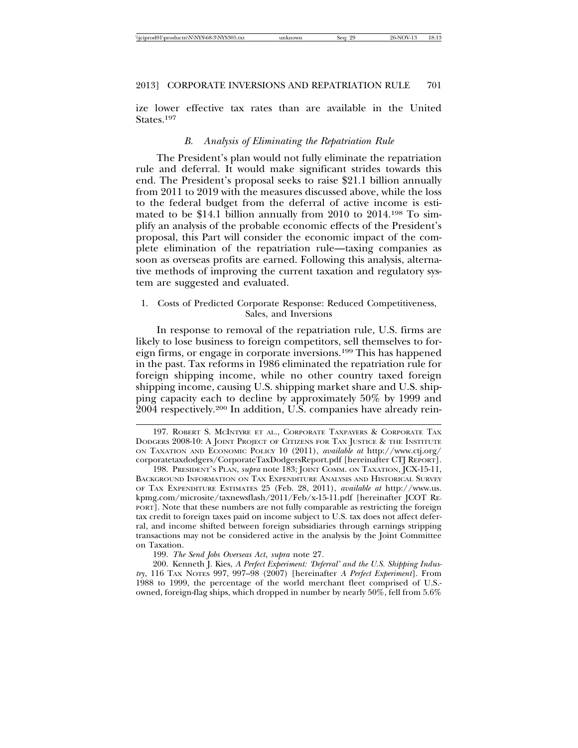ize lower effective tax rates than are available in the United States.197

#### *B. Analysis of Eliminating the Repatriation Rule*

The President's plan would not fully eliminate the repatriation rule and deferral. It would make significant strides towards this end. The President's proposal seeks to raise \$21.1 billion annually from 2011 to 2019 with the measures discussed above, while the loss to the federal budget from the deferral of active income is estimated to be \$14.1 billion annually from 2010 to 2014.198 To simplify an analysis of the probable economic effects of the President's proposal, this Part will consider the economic impact of the complete elimination of the repatriation rule—taxing companies as soon as overseas profits are earned. Following this analysis, alternative methods of improving the current taxation and regulatory system are suggested and evaluated.

#### 1. Costs of Predicted Corporate Response: Reduced Competitiveness, Sales, and Inversions

In response to removal of the repatriation rule, U.S. firms are likely to lose business to foreign competitors, sell themselves to foreign firms, or engage in corporate inversions.199 This has happened in the past. Tax reforms in 1986 eliminated the repatriation rule for foreign shipping income, while no other country taxed foreign shipping income, causing U.S. shipping market share and U.S. shipping capacity each to decline by approximately 50% by 1999 and 2004 respectively.200 In addition, U.S. companies have already rein-

197. ROBERT S. MCINTYRE ET AL., CORPORATE TAXPAYERS & CORPORATE TAX DODGERS 2008-10: A JOINT PROJECT OF CITIZENS FOR TAX JUSTICE & THE INSTITUTE ON TAXATION AND ECONOMIC POLICY 10 (2011), *available at* http://www.ctj.org/ corporatetaxdodgers/CorporateTaxDodgersReport.pdf [hereinafter CTJ REPORT].

198. PRESIDENT'S PLAN, *supra* note 183; JOINT COMM. ON TAXATION, JCX-15-11, BACKGROUND INFORMATION ON TAX EXPENDITURE ANALYSIS AND HISTORICAL SURVEY OF TAX EXPENDITURE ESTIMATES 25 (Feb. 28, 2011), *available at* http://www.us. kpmg.com/microsite/taxnewsflash/2011/Feb/x-15-11.pdf [hereinafter JCOT RE-PORT]. Note that these numbers are not fully comparable as restricting the foreign tax credit to foreign taxes paid on income subject to U.S. tax does not affect deferral, and income shifted between foreign subsidiaries through earnings stripping transactions may not be considered active in the analysis by the Joint Committee on Taxation.

199. *The Send Jobs Overseas Act*, *supra* note 27*.*

200. Kenneth J. Kies, *A Perfect Experiment: 'Deferral' and the U.S. Shipping Industry*, 116 TAX NOTES 997, 997–98 (2007) [hereinafter *A Perfect Experiment*]. From 1988 to 1999, the percentage of the world merchant fleet comprised of U.S. owned, foreign-flag ships, which dropped in number by nearly 50%, fell from 5.6%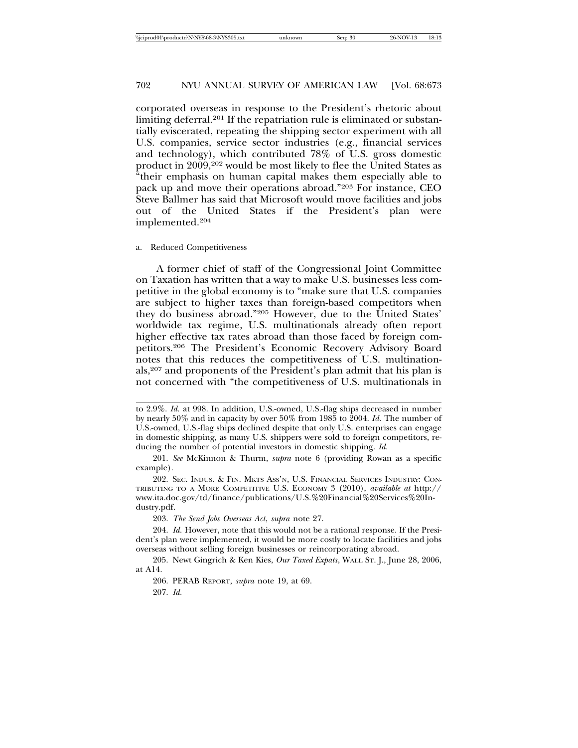corporated overseas in response to the President's rhetoric about limiting deferral.<sup>201</sup> If the repatriation rule is eliminated or substantially eviscerated, repeating the shipping sector experiment with all U.S. companies, service sector industries (e.g., financial services and technology), which contributed 78% of U.S. gross domestic product in 2009,<sup>202</sup> would be most likely to flee the United States as "their emphasis on human capital makes them especially able to pack up and move their operations abroad."203 For instance, CEO Steve Ballmer has said that Microsoft would move facilities and jobs out of the United States if the President's plan were implemented.204

#### a. Reduced Competitiveness

A former chief of staff of the Congressional Joint Committee on Taxation has written that a way to make U.S. businesses less competitive in the global economy is to "make sure that U.S. companies are subject to higher taxes than foreign-based competitors when they do business abroad."205 However, due to the United States' worldwide tax regime, U.S. multinationals already often report higher effective tax rates abroad than those faced by foreign competitors.206 The President's Economic Recovery Advisory Board notes that this reduces the competitiveness of U.S. multinationals,207 and proponents of the President's plan admit that his plan is not concerned with "the competitiveness of U.S. multinationals in

to 2.9%. *Id.* at 998. In addition, U.S.-owned, U.S.-flag ships decreased in number by nearly 50% and in capacity by over 50% from 1985 to 2004. *Id.* The number of U.S.-owned, U.S.-flag ships declined despite that only U.S. enterprises can engage in domestic shipping, as many U.S. shippers were sold to foreign competitors, reducing the number of potential investors in domestic shipping. *Id.*

<sup>201.</sup> *See* McKinnon & Thurm, *supra* note 6 (providing Rowan as a specific example).

<sup>202.</sup> SEC. INDUS. & FIN. MKTS ASS'N, U.S. FINANCIAL SERVICES INDUSTRY: CON-TRIBUTING TO A MORE COMPETITIVE U.S. ECONOMY 3 (2010), *available at* http:// www.ita.doc.gov/td/finance/publications/U.S.%20Financial%20Services%20Industry.pdf*.*

<sup>203.</sup> *The Send Jobs Overseas Act*, *supra* note 27.

<sup>204.</sup> *Id.* However, note that this would not be a rational response. If the President's plan were implemented, it would be more costly to locate facilities and jobs overseas without selling foreign businesses or reincorporating abroad.

<sup>205.</sup> Newt Gingrich & Ken Kies, *Our Taxed Expats*, WALL ST. J., June 28, 2006, at A14.

<sup>206.</sup> PERAB REPORT, *supra* note 19, at 69.

<sup>207.</sup> *Id.*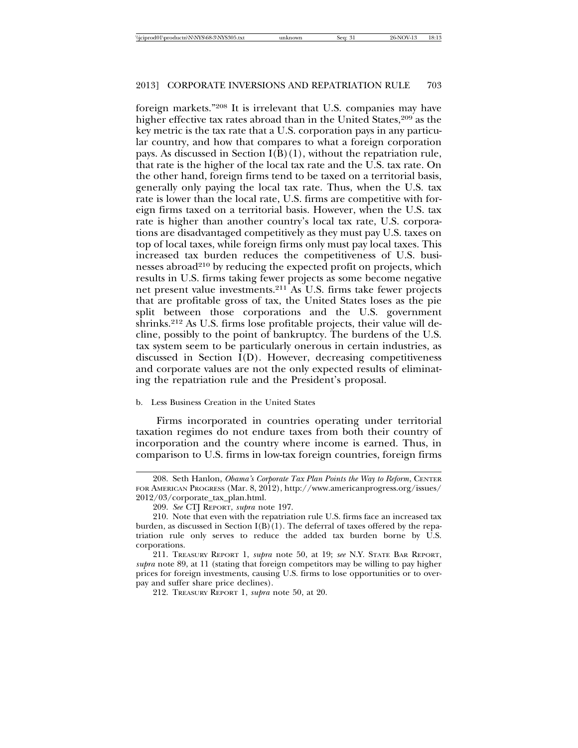foreign markets."208 It is irrelevant that U.S. companies may have higher effective tax rates abroad than in the United States,<sup>209</sup> as the key metric is the tax rate that a U.S. corporation pays in any particular country, and how that compares to what a foreign corporation pays. As discussed in Section  $I(B)(1)$ , without the repatriation rule, that rate is the higher of the local tax rate and the U.S. tax rate. On the other hand, foreign firms tend to be taxed on a territorial basis, generally only paying the local tax rate. Thus, when the U.S. tax rate is lower than the local rate, U.S. firms are competitive with foreign firms taxed on a territorial basis. However, when the U.S. tax rate is higher than another country's local tax rate, U.S. corporations are disadvantaged competitively as they must pay U.S. taxes on top of local taxes, while foreign firms only must pay local taxes. This increased tax burden reduces the competitiveness of U.S. businesses abroad<sup>210</sup> by reducing the expected profit on projects, which results in U.S. firms taking fewer projects as some become negative net present value investments.211 As U.S. firms take fewer projects that are profitable gross of tax, the United States loses as the pie split between those corporations and the U.S. government shrinks.212 As U.S. firms lose profitable projects, their value will decline, possibly to the point of bankruptcy. The burdens of the U.S. tax system seem to be particularly onerous in certain industries, as discussed in Section I(D). However, decreasing competitiveness and corporate values are not the only expected results of eliminating the repatriation rule and the President's proposal.

#### b. Less Business Creation in the United States

Firms incorporated in countries operating under territorial taxation regimes do not endure taxes from both their country of incorporation and the country where income is earned. Thus, in comparison to U.S. firms in low-tax foreign countries, foreign firms

<sup>208.</sup> Seth Hanlon, *Obama's Corporate Tax Plan Points the Way to Reform*, CENTER FOR AMERICAN PROGRESS (Mar. 8, 2012), http://www.americanprogress.org/issues/ 2012/03/corporate\_tax\_plan.html.

<sup>209.</sup> *See* CTJ REPORT, *supra* note 197.

<sup>210.</sup> Note that even with the repatriation rule U.S. firms face an increased tax burden, as discussed in Section  $I(B)(1)$ . The deferral of taxes offered by the repatriation rule only serves to reduce the added tax burden borne by U.S. corporations.

<sup>211.</sup> TREASURY REPORT 1, *supra* note 50, at 19; *see* N.Y. STATE BAR REPORT, *supra* note 89, at 11 (stating that foreign competitors may be willing to pay higher prices for foreign investments, causing U.S. firms to lose opportunities or to overpay and suffer share price declines).

<sup>212.</sup> TREASURY REPORT 1, *supra* note 50, at 20.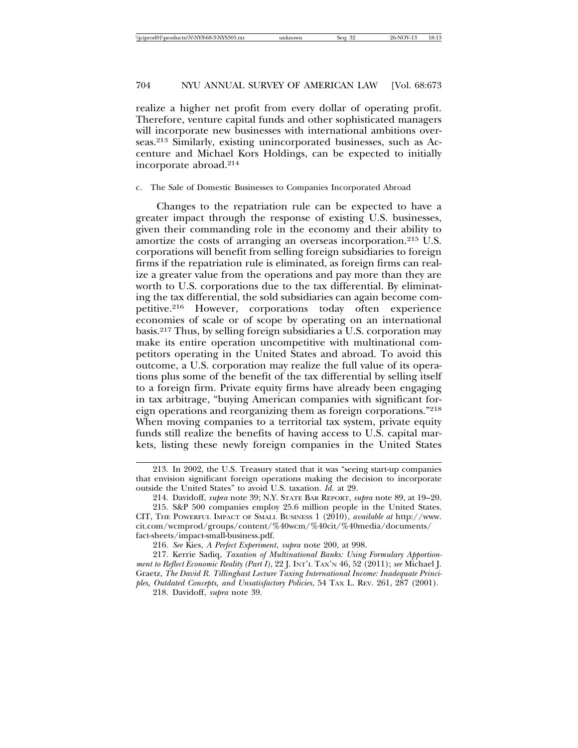realize a higher net profit from every dollar of operating profit. Therefore, venture capital funds and other sophisticated managers will incorporate new businesses with international ambitions overseas.213 Similarly, existing unincorporated businesses, such as Accenture and Michael Kors Holdings, can be expected to initially incorporate abroad.214

#### c. The Sale of Domestic Businesses to Companies Incorporated Abroad

Changes to the repatriation rule can be expected to have a greater impact through the response of existing U.S. businesses, given their commanding role in the economy and their ability to amortize the costs of arranging an overseas incorporation.215 U.S. corporations will benefit from selling foreign subsidiaries to foreign firms if the repatriation rule is eliminated, as foreign firms can realize a greater value from the operations and pay more than they are worth to U.S. corporations due to the tax differential. By eliminating the tax differential, the sold subsidiaries can again become competitive.216 However, corporations today often experience economies of scale or of scope by operating on an international basis.217 Thus, by selling foreign subsidiaries a U.S. corporation may make its entire operation uncompetitive with multinational competitors operating in the United States and abroad. To avoid this outcome, a U.S. corporation may realize the full value of its operations plus some of the benefit of the tax differential by selling itself to a foreign firm. Private equity firms have already been engaging in tax arbitrage, "buying American companies with significant foreign operations and reorganizing them as foreign corporations."218 When moving companies to a territorial tax system, private equity funds still realize the benefits of having access to U.S. capital markets, listing these newly foreign companies in the United States

218. Davidoff, *supra* note 39.

<sup>213.</sup> In 2002, the U.S. Treasury stated that it was "seeing start-up companies that envision significant foreign operations making the decision to incorporate outside the United States" to avoid U.S. taxation. *Id.* at 29.

<sup>214.</sup> Davidoff, *supra* note 39; N.Y. STATE BAR REPORT, *supra* note 89, at 19–20.

<sup>215.</sup> S&P 500 companies employ 25.6 million people in the United States. CIT, THE POWERFUL IMPACT OF SMALL BUSINESS 1 (2010), *available at* http://www. cit.com/wcmprod/groups/content/%40wcm/%40cit/%40media/documents/ fact-sheets/impact-small-business.pdf.

<sup>216.</sup> *See* Kies, *A Perfect Experiment*, *supra* note 200, at 998.

<sup>217.</sup> Kerrie Sadiq, *Taxation of Multinational Banks: Using Formulary Apportionment to Reflect Economic Reality (Part I)*, 22 J. INT'L TAX'N 46, 52 (2011); *see* Michael J. Graetz, *The David R. Tillinghast Lecture Taxing International Income: Inadequate Principles, Outdated Concepts, and Unsatisfactory Policies*, 54 TAX L. REV. 261, 287 (2001).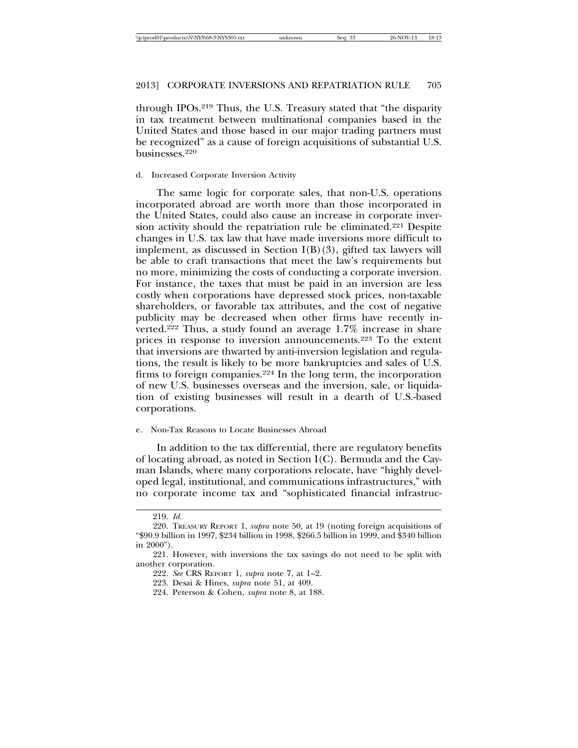through IPOs.219 Thus, the U.S. Treasury stated that "the disparity in tax treatment between multinational companies based in the United States and those based in our major trading partners must be recognized" as a cause of foreign acquisitions of substantial U.S. businesses.220

## d. Increased Corporate Inversion Activity

The same logic for corporate sales, that non-U.S. operations incorporated abroad are worth more than those incorporated in the United States, could also cause an increase in corporate inversion activity should the repatriation rule be eliminated.221 Despite changes in U.S. tax law that have made inversions more difficult to implement, as discussed in Section  $I(B)(3)$ , gifted tax lawyers will be able to craft transactions that meet the law's requirements but no more, minimizing the costs of conducting a corporate inversion. For instance, the taxes that must be paid in an inversion are less costly when corporations have depressed stock prices, non-taxable shareholders, or favorable tax attributes, and the cost of negative publicity may be decreased when other firms have recently inverted.222 Thus, a study found an average 1.7% increase in share prices in response to inversion announcements.223 To the extent that inversions are thwarted by anti-inversion legislation and regulations, the result is likely to be more bankruptcies and sales of U.S. firms to foreign companies.224 In the long term, the incorporation of new U.S. businesses overseas and the inversion, sale, or liquidation of existing businesses will result in a dearth of U.S.-based corporations.

#### e. Non-Tax Reasons to Locate Businesses Abroad

In addition to the tax differential, there are regulatory benefits of locating abroad, as noted in Section I(C). Bermuda and the Cayman Islands, where many corporations relocate, have "highly developed legal, institutional, and communications infrastructures," with no corporate income tax and "sophisticated financial infrastruc-

<sup>219.</sup> *Id.*

<sup>220.</sup> TREASURY REPORT 1, *supra* note 50, at 19 (noting foreign acquisitions of "\$90.9 billion in 1997, \$234 billion in 1998, \$266.5 billion in 1999, and \$340 billion in 2000").

<sup>221.</sup> However, with inversions the tax savings do not need to be split with another corporation.

<sup>222.</sup> *See* CRS REPORT 1, *supra* note 7, at 1–2.

<sup>223.</sup> Desai & Hines, *supra* note 51, at 409.

<sup>224.</sup> Peterson & Cohen, *supra* note 8, at 188.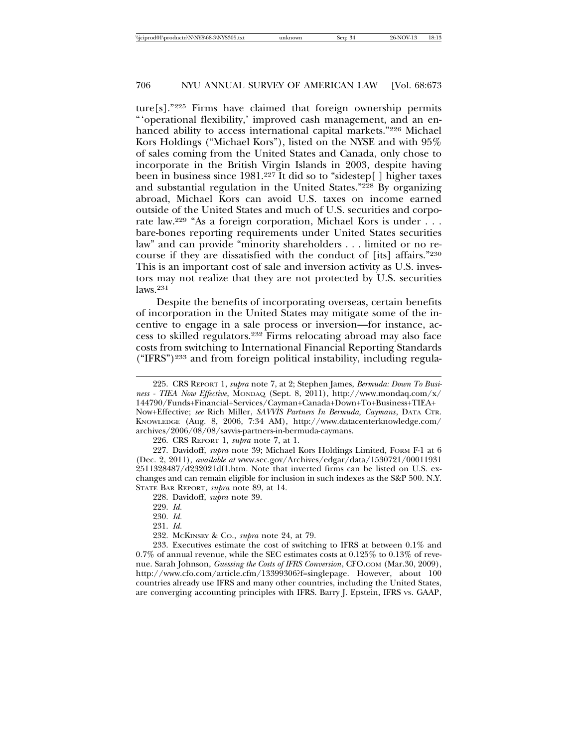ture[s]."225 Firms have claimed that foreign ownership permits "'operational flexibility,' improved cash management, and an enhanced ability to access international capital markets."226 Michael Kors Holdings ("Michael Kors"), listed on the NYSE and with 95% of sales coming from the United States and Canada, only chose to incorporate in the British Virgin Islands in 2003, despite having been in business since 1981.227 It did so to "sidestep[ ] higher taxes and substantial regulation in the United States."<sup>228</sup> By organizing abroad, Michael Kors can avoid U.S. taxes on income earned outside of the United States and much of U.S. securities and corporate law.229 "As a foreign corporation, Michael Kors is under . . . bare-bones reporting requirements under United States securities law" and can provide "minority shareholders . . . limited or no recourse if they are dissatisfied with the conduct of [its] affairs."230 This is an important cost of sale and inversion activity as U.S. investors may not realize that they are not protected by U.S. securities  $l$ aws.<sup>231</sup>

Despite the benefits of incorporating overseas, certain benefits of incorporation in the United States may mitigate some of the incentive to engage in a sale process or inversion—for instance, access to skilled regulators.232 Firms relocating abroad may also face costs from switching to International Financial Reporting Standards ("IFRS")233 and from foreign political instability, including regula-

232. MCKINSEY & CO., *supra* note 24, at 79.

233. Executives estimate the cost of switching to IFRS at between 0.1% and 0.7% of annual revenue, while the SEC estimates costs at 0.125% to 0.13% of revenue. Sarah Johnson, *Guessing the Costs of IFRS Conversion*, CFO.COM (Mar.30, 2009), http://www.cfo.com/article.cfm/13399306?f=singlepage. However, about 100 countries already use IFRS and many other countries, including the United States, are converging accounting principles with IFRS. Barry J. Epstein, IFRS vs. GAAP,

<sup>225.</sup> CRS REPORT 1, *supra* note 7, at 2; Stephen James, *Bermuda: Down To Business - TIEA Now Effective*, MONDAQ (Sept. 8, 2011), http://www.mondaq.com/x/ 144790/Funds+Financial+Services/Cayman+Canada+Down+To+Business+TIEA+ Now+Effective; *see* Rich Miller, *SAVVIS Partners In Bermuda, Caymans*, DATA CTR. KNOWLEDGE (Aug. 8, 2006, 7:34 AM), http://www.datacenterknowledge.com/ archives/2006/08/08/savvis-partners-in-bermuda-caymans.

<sup>226.</sup> CRS REPORT 1, *supra* note 7, at 1.

<sup>227.</sup> Davidoff, *supra* note 39; Michael Kors Holdings Limited, FORM F-1 at 6 (Dec. 2, 2011), *available at* www.sec.gov/Archives/edgar/data/1530721/00011931 2511328487/d232021df1.htm. Note that inverted firms can be listed on U.S. exchanges and can remain eligible for inclusion in such indexes as the S&P 500. N.Y. STATE BAR REPORT, *supra* note 89, at 14.

<sup>228.</sup> Davidoff, *supra* note 39.

<sup>229.</sup> *Id.*

<sup>230.</sup> *Id.*

<sup>231.</sup> *Id.*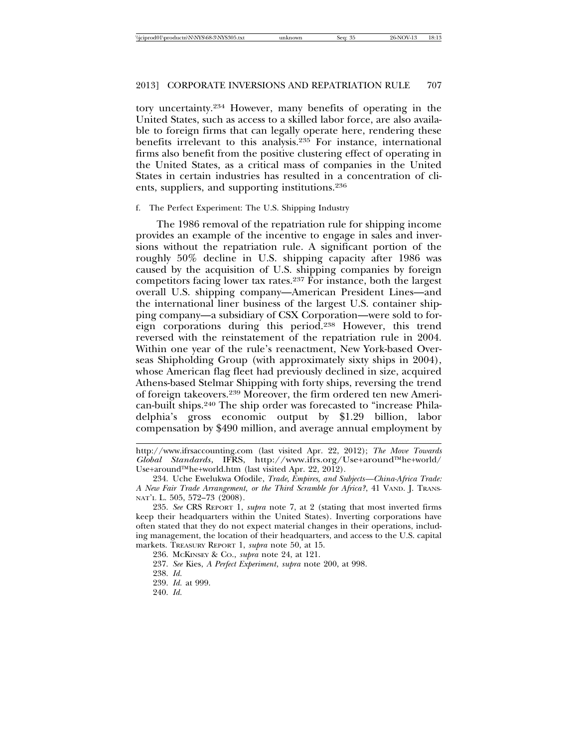tory uncertainty.234 However, many benefits of operating in the United States, such as access to a skilled labor force, are also available to foreign firms that can legally operate here, rendering these benefits irrelevant to this analysis.235 For instance, international firms also benefit from the positive clustering effect of operating in the United States, as a critical mass of companies in the United States in certain industries has resulted in a concentration of clients, suppliers, and supporting institutions.236

### f. The Perfect Experiment: The U.S. Shipping Industry

The 1986 removal of the repatriation rule for shipping income provides an example of the incentive to engage in sales and inversions without the repatriation rule. A significant portion of the roughly 50% decline in U.S. shipping capacity after 1986 was caused by the acquisition of U.S. shipping companies by foreign competitors facing lower tax rates.237 For instance, both the largest overall U.S. shipping company—American President Lines—and the international liner business of the largest U.S. container shipping company—a subsidiary of CSX Corporation—were sold to foreign corporations during this period.238 However, this trend reversed with the reinstatement of the repatriation rule in 2004. Within one year of the rule's reenactment, New York-based Overseas Shipholding Group (with approximately sixty ships in 2004), whose American flag fleet had previously declined in size, acquired Athens-based Stelmar Shipping with forty ships, reversing the trend of foreign takeovers.239 Moreover, the firm ordered ten new American-built ships.240 The ship order was forecasted to "increase Philadelphia's gross economic output by \$1.29 billion, labor compensation by \$490 million, and average annual employment by

240. *Id.*

http://www.ifrsaccounting.com (last visited Apr. 22, 2012); *The Move Towards Global Standards*, IFRS, http://www.ifrs.org/Use+around™he+world/ Use+around™he+world.htm (last visited Apr. 22, 2012).

<sup>234.</sup> Uche Ewelukwa Ofodile, *Trade, Empires, and Subjects—China-Africa Trade: A New Fair Trade Arrangement, or the Third Scramble for Africa?*, 41 VAND. J. TRANS-NAT'L L. 505, 572–73 (2008).

<sup>235.</sup> *See* CRS REPORT 1, *supra* note 7, at 2 (stating that most inverted firms keep their headquarters within the United States). Inverting corporations have often stated that they do not expect material changes in their operations, including management, the location of their headquarters, and access to the U.S. capital markets. TREASURY REPORT 1, *supra* note 50, at 15.

<sup>236.</sup> MCKINSEY & CO., *supra* note 24, at 121.

<sup>237.</sup> *See* Kies, *A Perfect Experiment*, *supra* note 200, at 998.

<sup>238.</sup> *Id.*

<sup>239.</sup> *Id.* at 999.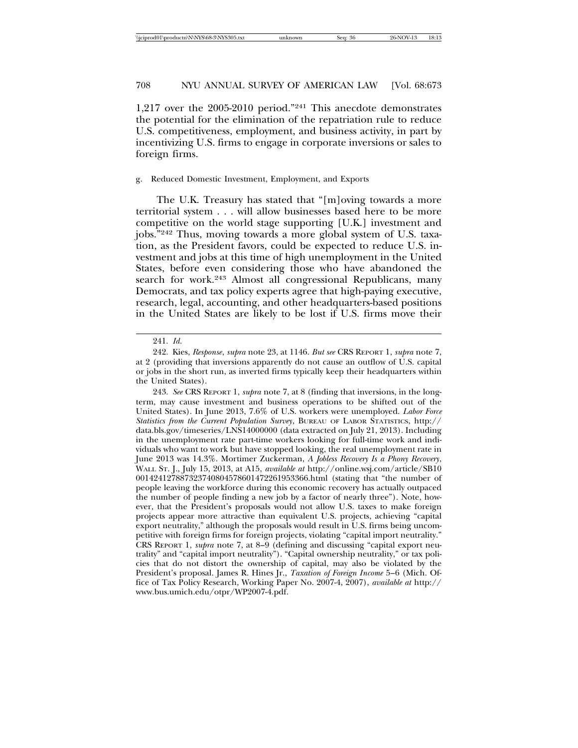1,217 over the 2005-2010 period."241 This anecdote demonstrates the potential for the elimination of the repatriation rule to reduce U.S. competitiveness, employment, and business activity, in part by incentivizing U.S. firms to engage in corporate inversions or sales to foreign firms.

#### g. Reduced Domestic Investment, Employment, and Exports

The U.K. Treasury has stated that "[m]oving towards a more territorial system . . . will allow businesses based here to be more competitive on the world stage supporting [U.K.] investment and jobs."242 Thus, moving towards a more global system of U.S. taxation, as the President favors, could be expected to reduce U.S. investment and jobs at this time of high unemployment in the United States, before even considering those who have abandoned the search for work.<sup>243</sup> Almost all congressional Republicans, many Democrats, and tax policy experts agree that high-paying executive, research, legal, accounting, and other headquarters-based positions in the United States are likely to be lost if U.S. firms move their

<sup>241.</sup> *Id.*

<sup>242.</sup> Kies, *Response*, *supra* note 23, at 1146. *But see* CRS REPORT 1, *supra* note 7, at 2 (providing that inversions apparently do not cause an outflow of U.S. capital or jobs in the short run, as inverted firms typically keep their headquarters within the United States).

<sup>243.</sup> *See* CRS REPORT 1, *supra* note 7, at 8 (finding that inversions, in the longterm, may cause investment and business operations to be shifted out of the United States). In June 2013, 7.6% of U.S. workers were unemployed. *Labor Force Statistics from the Current Population Survey*, BUREAU OF LABOR STATISTICS, http:// data.bls.gov/timeseries/LNS14000000 (data extracted on July 21, 2013). Including in the unemployment rate part-time workers looking for full-time work and individuals who want to work but have stopped looking, the real unemployment rate in June 2013 was 14.3%. Mortimer Zuckerman, *A Jobless Recovery Is a Phony Recovery*, WALL ST. J., July 15, 2013, at A15, *available at* http://online.wsj.com/article/SB10 001424127887323740804578601472261953366.html (stating that "the number of people leaving the workforce during this economic recovery has actually outpaced the number of people finding a new job by a factor of nearly three"). Note, however, that the President's proposals would not allow U.S. taxes to make foreign projects appear more attractive than equivalent U.S. projects, achieving "capital export neutrality," although the proposals would result in U.S. firms being uncompetitive with foreign firms for foreign projects, violating "capital import neutrality." CRS REPORT 1, *supra* note 7, at 8–9 (defining and discussing "capital export neutrality" and "capital import neutrality"). "Capital ownership neutrality," or tax policies that do not distort the ownership of capital, may also be violated by the President's proposal. James R. Hines Jr., *Taxation of Foreign Income* 5–6 (Mich. Office of Tax Policy Research, Working Paper No. 2007-4, 2007), *available at* http:// www.bus.umich.edu/otpr/WP2007-4.pdf.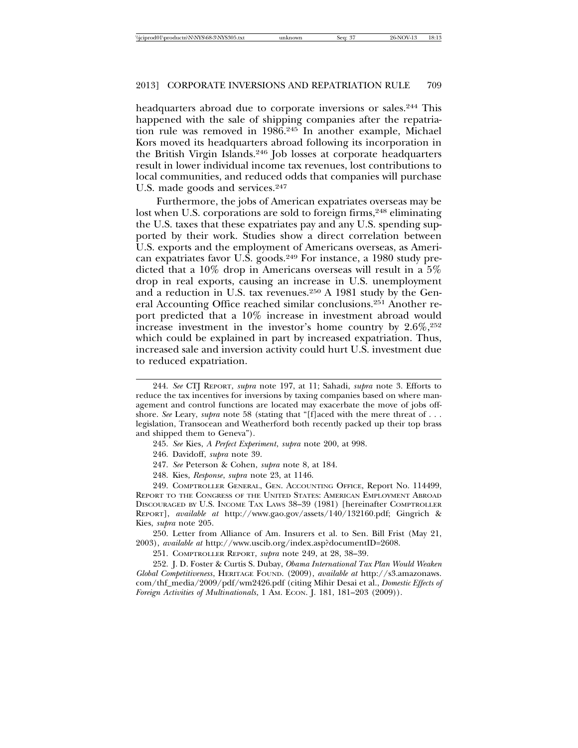headquarters abroad due to corporate inversions or sales.<sup>244</sup> This happened with the sale of shipping companies after the repatriation rule was removed in 1986.245 In another example, Michael Kors moved its headquarters abroad following its incorporation in the British Virgin Islands.246 Job losses at corporate headquarters result in lower individual income tax revenues, lost contributions to local communities, and reduced odds that companies will purchase U.S. made goods and services.<sup>247</sup>

Furthermore, the jobs of American expatriates overseas may be lost when U.S. corporations are sold to foreign firms, <sup>248</sup> eliminating the U.S. taxes that these expatriates pay and any U.S. spending supported by their work. Studies show a direct correlation between U.S. exports and the employment of Americans overseas, as American expatriates favor U.S. goods.249 For instance, a 1980 study predicted that a 10% drop in Americans overseas will result in a 5% drop in real exports, causing an increase in U.S. unemployment and a reduction in U.S. tax revenues.250 A 1981 study by the General Accounting Office reached similar conclusions.251 Another report predicted that a 10% increase in investment abroad would increase investment in the investor's home country by  $2.6\%,252$ which could be explained in part by increased expatriation. Thus, increased sale and inversion activity could hurt U.S. investment due to reduced expatriation.

247. *See* Peterson & Cohen, *supra* note 8, at 184.

248. Kies, *Response*, *supra* note 23, at 1146.

249. COMPTROLLER GENERAL, GEN. ACCOUNTING OFFICE, Report No. 114499, REPORT TO THE CONGRESS OF THE UNITED STATES: AMERICAN EMPLOYMENT ABROAD DISCOURAGED BY U.S. INCOME TAX LAWS 38–39 (1981) [hereinafter COMPTROLLER REPORT], *available at* http://www.gao.gov/assets/140/132160.pdf; Gingrich & Kies, *supra* note 205.

250. Letter from Alliance of Am. Insurers et al. to Sen. Bill Frist (May 21, 2003), *available at* http://www.uscib.org/index.asp?documentID=2608.

251. COMPTROLLER REPORT, *supra* note 249, at 28, 38–39.

252. J. D. Foster & Curtis S. Dubay, *Obama International Tax Plan Would Weaken Global Competitiveness*, HERITAGE FOUND. (2009), *available at* http://s3.amazonaws. com/thf\_media/2009/pdf/wm2426.pdf (citing Mihir Desai et al., *Domestic Effects of Foreign Activities of Multinationals*, 1 AM. ECON. J. 181, 181–203 (2009)).

<sup>244.</sup> *See* CTJ REPORT, *supra* note 197, at 11; Sahadi, *supra* note 3. Efforts to reduce the tax incentives for inversions by taxing companies based on where management and control functions are located may exacerbate the move of jobs offshore. *See* Leary, *supra* note 58 (stating that "[f]aced with the mere threat of . . . legislation, Transocean and Weatherford both recently packed up their top brass and shipped them to Geneva").

<sup>245.</sup> *See* Kies, *A Perfect Experiment*, *supra* note 200, at 998.

<sup>246.</sup> Davidoff, *supra* note 39.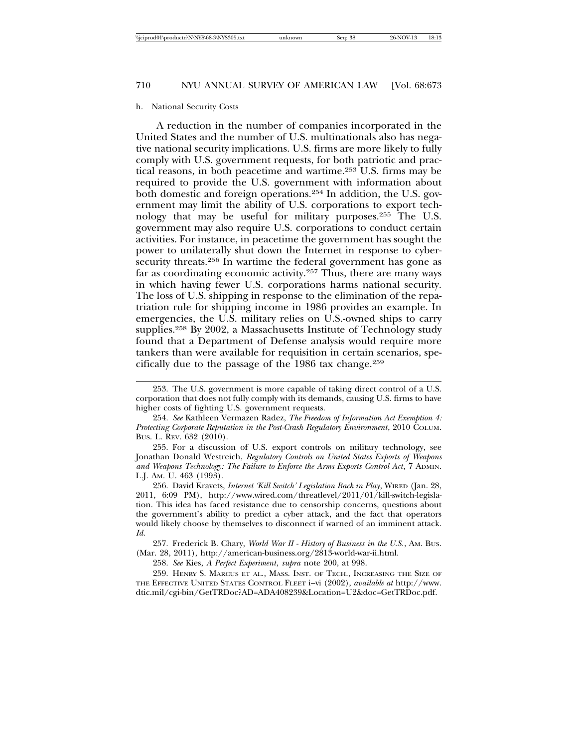#### h. National Security Costs

A reduction in the number of companies incorporated in the United States and the number of U.S. multinationals also has negative national security implications. U.S. firms are more likely to fully comply with U.S. government requests, for both patriotic and practical reasons, in both peacetime and wartime.253 U.S. firms may be required to provide the U.S. government with information about both domestic and foreign operations.254 In addition, the U.S. government may limit the ability of U.S. corporations to export technology that may be useful for military purposes.255 The U.S. government may also require U.S. corporations to conduct certain activities. For instance, in peacetime the government has sought the power to unilaterally shut down the Internet in response to cybersecurity threats.<sup>256</sup> In wartime the federal government has gone as far as coordinating economic activity.257 Thus, there are many ways in which having fewer U.S. corporations harms national security. The loss of U.S. shipping in response to the elimination of the repatriation rule for shipping income in 1986 provides an example. In emergencies, the U.S. military relies on U.S.-owned ships to carry supplies.258 By 2002, a Massachusetts Institute of Technology study found that a Department of Defense analysis would require more tankers than were available for requisition in certain scenarios, specifically due to the passage of the 1986 tax change.259

254. *See* Kathleen Vermazen Radez, *The Freedom of Information Act Exemption 4: Protecting Corporate Reputation in the Post-Crash Regulatory Environment*, 2010 COLUM. BUS. L. REV. 632 (2010).

255. For a discussion of U.S. export controls on military technology, see Jonathan Donald Westreich, *Regulatory Controls on United States Exports of Weapons and Weapons Technology: The Failure to Enforce the Arms Exports Control Act*, 7 ADMIN. L.J. AM. U. 463 (1993).

256. David Kravets, *Internet 'Kill Switch' Legislation Back in Play*, WIRED (Jan. 28, 2011, 6:09 PM), http://www.wired.com/threatlevel/2011/01/kill-switch-legislation. This idea has faced resistance due to censorship concerns, questions about the government's ability to predict a cyber attack, and the fact that operators would likely choose by themselves to disconnect if warned of an imminent attack. *Id.*

257. Frederick B. Chary, *World War II - History of Business in the U.S.*, AM. BUS. (Mar. 28, 2011), http://american-business.org/2813-world-war-ii.html.

258. *See* Kies, *A Perfect Experiment*, *supra* note 200, at 998.

259. HENRY S. MARCUS ET AL., MASS. INST. OF TECH., INCREASING THE SIZE OF THE EFFECTIVE UNITED STATES CONTROL FLEET i–vi (2002), *available at* http://www. dtic.mil/cgi-bin/GetTRDoc?AD=ADA408239&Location=U2&doc=GetTRDoc.pdf.

<sup>253.</sup> The U.S. government is more capable of taking direct control of a U.S. corporation that does not fully comply with its demands, causing U.S. firms to have higher costs of fighting U.S. government requests.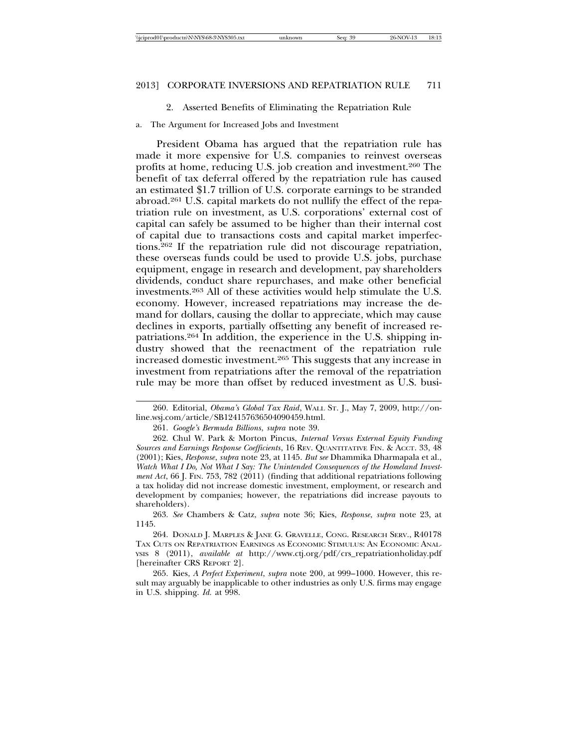#### 2. Asserted Benefits of Eliminating the Repatriation Rule

a. The Argument for Increased Jobs and Investment

President Obama has argued that the repatriation rule has made it more expensive for U.S. companies to reinvest overseas profits at home, reducing U.S. job creation and investment.260 The benefit of tax deferral offered by the repatriation rule has caused an estimated \$1.7 trillion of U.S. corporate earnings to be stranded abroad.261 U.S. capital markets do not nullify the effect of the repatriation rule on investment, as U.S. corporations' external cost of capital can safely be assumed to be higher than their internal cost of capital due to transactions costs and capital market imperfections.262 If the repatriation rule did not discourage repatriation, these overseas funds could be used to provide U.S. jobs, purchase equipment, engage in research and development, pay shareholders dividends, conduct share repurchases, and make other beneficial investments.263 All of these activities would help stimulate the U.S. economy. However, increased repatriations may increase the demand for dollars, causing the dollar to appreciate, which may cause declines in exports, partially offsetting any benefit of increased repatriations.264 In addition, the experience in the U.S. shipping industry showed that the reenactment of the repatriation rule increased domestic investment.265 This suggests that any increase in investment from repatriations after the removal of the repatriation rule may be more than offset by reduced investment as U.S. busi-

<sup>260.</sup> Editorial, *Obama's Global Tax Raid*, WALL ST. J., May 7, 2009, http://online.wsj.com/article/SB124157636504090459.html.

<sup>261.</sup> *Google's Bermuda Billions*, *supra* note 39.

<sup>262.</sup> Chul W. Park & Morton Pincus, *Internal Versus External Equity Funding Sources and Earnings Response Coefficients*, 16 REV. QUANTITATIVE FIN. & ACCT. 33, 48 (2001); Kies, *Response*, *supra* note 23, at 1145. *But see* Dhammika Dharmapala et al., *Watch What I Do, Not What I Say: The Unintended Consequences of the Homeland Investment Act*, 66 J. FIN. 753, 782 (2011) (finding that additional repatriations following a tax holiday did not increase domestic investment, employment, or research and development by companies; however, the repatriations did increase payouts to shareholders).

<sup>263.</sup> *See* Chambers & Catz, *supra* note 36; Kies, *Response*, *supra* note 23, at 1145.

<sup>264.</sup> DONALD J. MARPLES & JANE G. GRAVELLE, CONG. RESEARCH SERV., R40178 TAX CUTS ON REPATRIATION EARNINGS AS ECONOMIC STIMULUS: AN ECONOMIC ANAL-YSIS 8 (2011), *available at* http://www.ctj.org/pdf/crs\_repatriationholiday.pdf [hereinafter CRS REPORT 2].

<sup>265.</sup> Kies, *A Perfect Experiment*, *supra* note 200, at 999–1000. However, this result may arguably be inapplicable to other industries as only U.S. firms may engage in U.S. shipping. *Id.* at 998.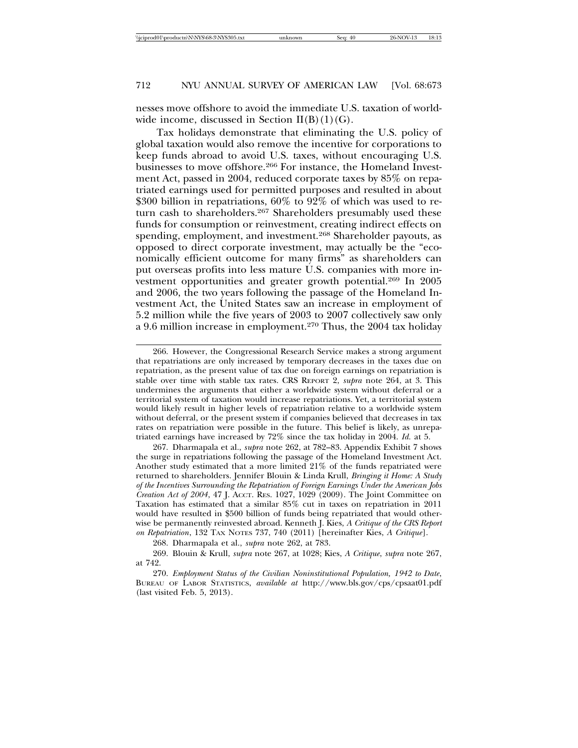nesses move offshore to avoid the immediate U.S. taxation of worldwide income, discussed in Section  $II(B)(1)(G)$ .

Tax holidays demonstrate that eliminating the U.S. policy of global taxation would also remove the incentive for corporations to keep funds abroad to avoid U.S. taxes, without encouraging U.S. businesses to move offshore.266 For instance, the Homeland Investment Act, passed in 2004, reduced corporate taxes by 85% on repatriated earnings used for permitted purposes and resulted in about \$300 billion in repatriations, 60% to 92% of which was used to return cash to shareholders.<sup>267</sup> Shareholders presumably used these funds for consumption or reinvestment, creating indirect effects on spending, employment, and investment.268 Shareholder payouts, as opposed to direct corporate investment, may actually be the "economically efficient outcome for many firms" as shareholders can put overseas profits into less mature U.S. companies with more investment opportunities and greater growth potential.<sup>269</sup> In 2005 and 2006, the two years following the passage of the Homeland Investment Act, the United States saw an increase in employment of 5.2 million while the five years of 2003 to 2007 collectively saw only a 9.6 million increase in employment.270 Thus, the 2004 tax holiday

267. Dharmapala et al., *supra* note 262, at 782–83. Appendix Exhibit 7 shows the surge in repatriations following the passage of the Homeland Investment Act. Another study estimated that a more limited 21% of the funds repatriated were returned to shareholders. Jennifer Blouin & Linda Krull, *Bringing it Home: A Study of the Incentives Surrounding the Repatriation of Foreign Earnings Under the American Jobs Creation Act of 2004*, 47 J. ACCT. RES. 1027, 1029 (2009). The Joint Committee on Taxation has estimated that a similar 85% cut in taxes on repatriation in 2011 would have resulted in \$500 billion of funds being repatriated that would otherwise be permanently reinvested abroad. Kenneth J. Kies, *A Critique of the CRS Report on Repatriation*, 132 TAX NOTES 737, 740 (2011) [hereinafter Kies, *A Critique*].

<sup>266.</sup> However, the Congressional Research Service makes a strong argument that repatriations are only increased by temporary decreases in the taxes due on repatriation, as the present value of tax due on foreign earnings on repatriation is stable over time with stable tax rates. CRS REPORT 2, *supra* note 264, at 3. This undermines the arguments that either a worldwide system without deferral or a territorial system of taxation would increase repatriations. Yet, a territorial system would likely result in higher levels of repatriation relative to a worldwide system without deferral, or the present system if companies believed that decreases in tax rates on repatriation were possible in the future. This belief is likely, as unrepatriated earnings have increased by 72% since the tax holiday in 2004. *Id.* at 5.

<sup>268.</sup> Dharmapala et al., *supra* note 262, at 783.

<sup>269.</sup> Blouin & Krull, *supra* note 267, at 1028; Kies, *A Critique*, *supra* note 267, at 742.

<sup>270.</sup> *Employment Status of the Civilian Noninstitutional Population, 1942 to Date*, BUREAU OF LABOR STATISTICS, *available at* http://www.bls.gov/cps/cpsaat01.pdf (last visited Feb. 5, 2013).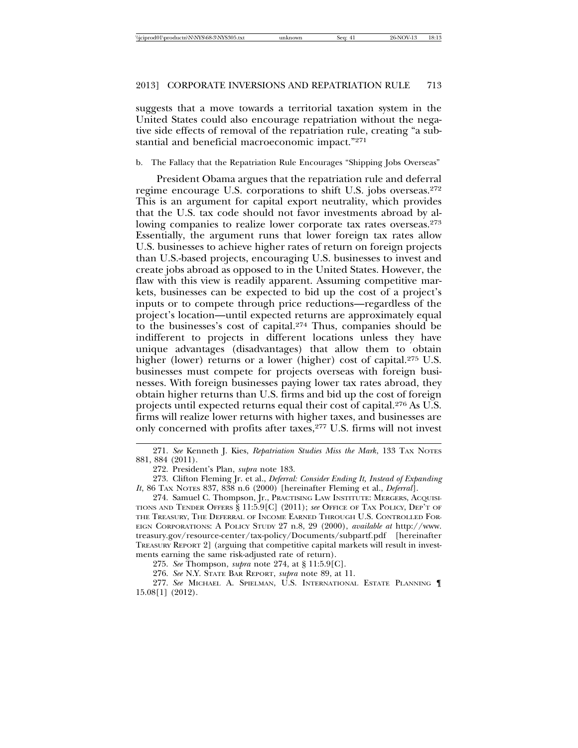suggests that a move towards a territorial taxation system in the United States could also encourage repatriation without the negative side effects of removal of the repatriation rule, creating "a substantial and beneficial macroeconomic impact."271

b. The Fallacy that the Repatriation Rule Encourages "Shipping Jobs Overseas"

President Obama argues that the repatriation rule and deferral regime encourage U.S. corporations to shift U.S. jobs overseas.272 This is an argument for capital export neutrality, which provides that the U.S. tax code should not favor investments abroad by allowing companies to realize lower corporate tax rates overseas.<sup>273</sup> Essentially, the argument runs that lower foreign tax rates allow U.S. businesses to achieve higher rates of return on foreign projects than U.S.-based projects, encouraging U.S. businesses to invest and create jobs abroad as opposed to in the United States. However, the flaw with this view is readily apparent. Assuming competitive markets, businesses can be expected to bid up the cost of a project's inputs or to compete through price reductions—regardless of the project's location—until expected returns are approximately equal to the businesses's cost of capital.274 Thus, companies should be indifferent to projects in different locations unless they have unique advantages (disadvantages) that allow them to obtain higher (lower) returns or a lower (higher) cost of capital.<sup>275</sup> U.S. businesses must compete for projects overseas with foreign businesses. With foreign businesses paying lower tax rates abroad, they obtain higher returns than U.S. firms and bid up the cost of foreign projects until expected returns equal their cost of capital.276 As U.S. firms will realize lower returns with higher taxes, and businesses are only concerned with profits after taxes,<sup>277</sup> U.S. firms will not invest

<sup>271.</sup> *See* Kenneth J. Kies, *Repatriation Studies Miss the Mark*, 133 TAX NOTES 881, 884 (2011).

<sup>272.</sup> President's Plan, *supra* note 183.

<sup>273.</sup> Clifton Fleming Jr. et al., *Deferral: Consider Ending It, Instead of Expanding It*, 86 TAX NOTES 837, 838 n.6 (2000) [hereinafter Fleming et al., *Deferral*].

<sup>274.</sup> Samuel C. Thompson, Jr., PRACTISING LAW INSTITUTE: MERGERS, ACQUISI-TIONS AND TENDER OFFERS § 11:5.9[C] (2011); *see* OFFICE OF TAX POLICY, DEP'T OF THE TREASURY, THE DEFERRAL OF INCOME EARNED THROUGH U.S. CONTROLLED FOR-EIGN CORPORATIONS: A POLICY STUDY 27 n.8, 29 (2000), *available at* http://www. treasury.gov/resource-center/tax-policy/Documents/subpartf.pdf [hereinafter TREASURY REPORT 2] (arguing that competitive capital markets will result in investments earning the same risk-adjusted rate of return).

<sup>275.</sup> *See* Thompson, *supra* note 274, at § 11:5.9[C].

<sup>276.</sup> *See* N.Y. STATE BAR REPORT, *supra* note 89, at 11.

<sup>277.</sup> *See* MICHAEL A. SPIELMAN, U.S. INTERNATIONAL ESTATE PLANNING ¶ 15.08[1] (2012).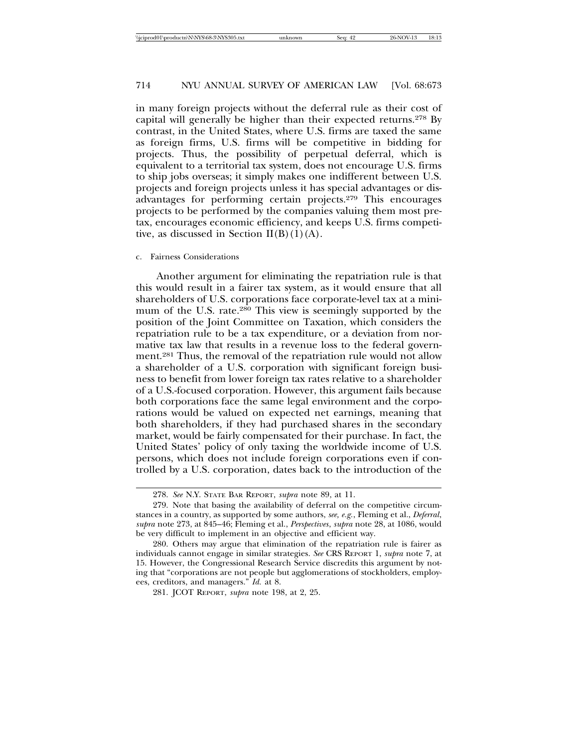in many foreign projects without the deferral rule as their cost of capital will generally be higher than their expected returns.278 By contrast, in the United States, where U.S. firms are taxed the same as foreign firms, U.S. firms will be competitive in bidding for projects. Thus, the possibility of perpetual deferral, which is equivalent to a territorial tax system, does not encourage U.S. firms to ship jobs overseas; it simply makes one indifferent between U.S. projects and foreign projects unless it has special advantages or disadvantages for performing certain projects.279 This encourages projects to be performed by the companies valuing them most pretax, encourages economic efficiency, and keeps U.S. firms competitive, as discussed in Section  $II(B)(1)(A)$ .

#### c. Fairness Considerations

Another argument for eliminating the repatriation rule is that this would result in a fairer tax system, as it would ensure that all shareholders of U.S. corporations face corporate-level tax at a minimum of the U.S. rate.<sup>280</sup> This view is seemingly supported by the position of the Joint Committee on Taxation, which considers the repatriation rule to be a tax expenditure, or a deviation from normative tax law that results in a revenue loss to the federal government.281 Thus, the removal of the repatriation rule would not allow a shareholder of a U.S. corporation with significant foreign business to benefit from lower foreign tax rates relative to a shareholder of a U.S.-focused corporation. However, this argument fails because both corporations face the same legal environment and the corporations would be valued on expected net earnings, meaning that both shareholders, if they had purchased shares in the secondary market, would be fairly compensated for their purchase. In fact, the United States' policy of only taxing the worldwide income of U.S. persons, which does not include foreign corporations even if controlled by a U.S. corporation, dates back to the introduction of the

<sup>278.</sup> *See* N.Y. STATE BAR REPORT, *supra* note 89, at 11.

<sup>279.</sup> Note that basing the availability of deferral on the competitive circumstances in a country, as supported by some authors, *see, e.g.*, Fleming et al., *Deferral*, *supra* note 273, at 845–46; Fleming et al., *Perspectives*, *supra* note 28, at 1086, would be very difficult to implement in an objective and efficient way.

<sup>280.</sup> Others may argue that elimination of the repatriation rule is fairer as individuals cannot engage in similar strategies. *See* CRS REPORT 1, *supra* note 7, at 15. However, the Congressional Research Service discredits this argument by noting that "corporations are not people but agglomerations of stockholders, employees, creditors, and managers." *Id.* at 8.

<sup>281.</sup> JCOT REPORT, *supra* note 198, at 2, 25.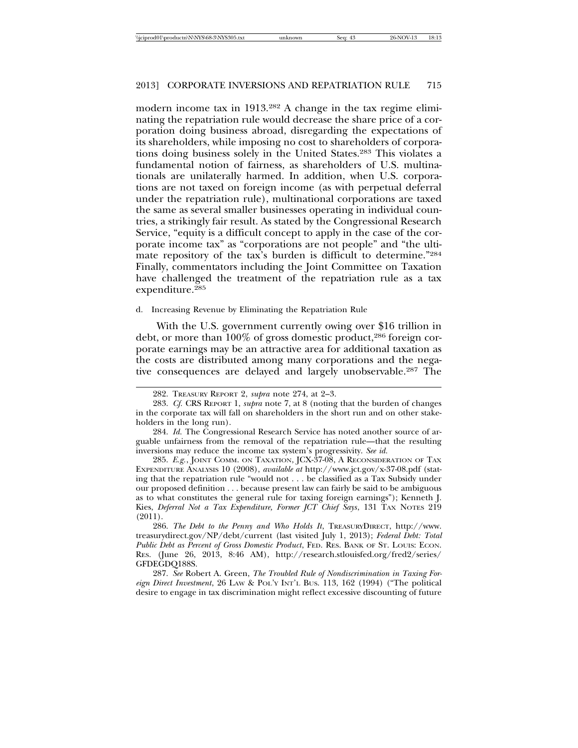modern income tax in 1913.282 A change in the tax regime eliminating the repatriation rule would decrease the share price of a corporation doing business abroad, disregarding the expectations of its shareholders, while imposing no cost to shareholders of corporations doing business solely in the United States.283 This violates a fundamental notion of fairness, as shareholders of U.S. multinationals are unilaterally harmed. In addition, when U.S. corporations are not taxed on foreign income (as with perpetual deferral under the repatriation rule), multinational corporations are taxed the same as several smaller businesses operating in individual countries, a strikingly fair result. As stated by the Congressional Research Service, "equity is a difficult concept to apply in the case of the corporate income tax" as "corporations are not people" and "the ultimate repository of the tax's burden is difficult to determine."284 Finally, commentators including the Joint Committee on Taxation have challenged the treatment of the repatriation rule as a tax expenditure.285

d. Increasing Revenue by Eliminating the Repatriation Rule

With the U.S. government currently owing over \$16 trillion in debt, or more than 100% of gross domestic product,286 foreign corporate earnings may be an attractive area for additional taxation as the costs are distributed among many corporations and the negative consequences are delayed and largely unobservable.287 The

285. *E.g.*, JOINT COMM. ON TAXATION, JCX-37-08, A RECONSIDERATION OF TAX EXPENDITURE ANALYSIS 10 (2008), *available at* http://www.jct.gov/x-37-08.pdf (stating that the repatriation rule "would not . . . be classified as a Tax Subsidy under our proposed definition . . . because present law can fairly be said to be ambiguous as to what constitutes the general rule for taxing foreign earnings"); Kenneth J. Kies, *Deferral Not a Tax Expenditure, Former JCT Chief Says*, 131 TAX NOTES 219 (2011).

286. *The Debt to the Penny and Who Holds It*, TREASURYDIRECT, http://www. treasurydirect.gov/NP/debt/current (last visited July 1, 2013); *Federal Debt: Total Public Debt as Percent of Gross Domestic Product*, FED. RES. BANK OF ST. LOUIS: ECON. RES. (June 26, 2013, 8:46 AM), http://research.stlouisfed.org/fred2/series/ GFDEGDQ188S.

287. *See* Robert A. Green, *The Troubled Rule of Nondiscrimination in Taxing Foreign Direct Investment*, 26 LAW & POL'Y INT'L BUS. 113, 162 (1994) ("The political desire to engage in tax discrimination might reflect excessive discounting of future

<sup>282.</sup> TREASURY REPORT 2, *supra* note 274, at 2–3.

<sup>283.</sup> *Cf.* CRS REPORT 1, *supra* note 7, at 8 (noting that the burden of changes in the corporate tax will fall on shareholders in the short run and on other stakeholders in the long run).

<sup>284.</sup> *Id.* The Congressional Research Service has noted another source of arguable unfairness from the removal of the repatriation rule—that the resulting inversions may reduce the income tax system's progressivity. *See id.*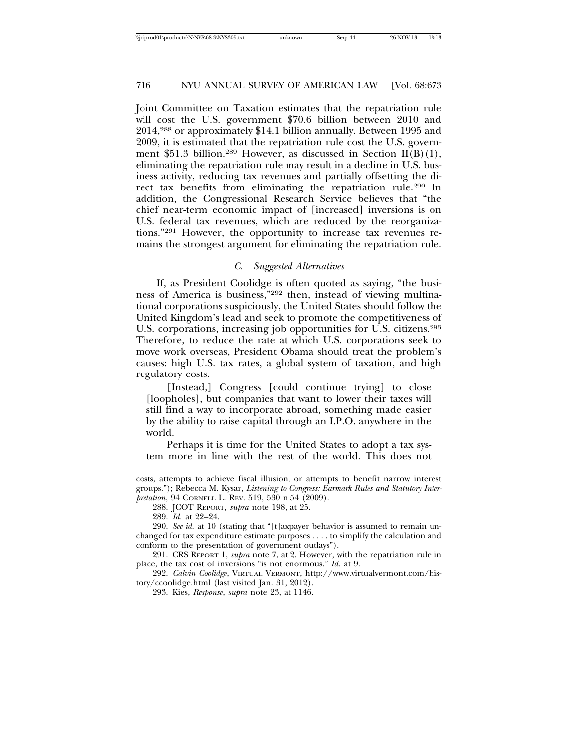Joint Committee on Taxation estimates that the repatriation rule will cost the U.S. government \$70.6 billion between 2010 and 2014,288 or approximately \$14.1 billion annually. Between 1995 and 2009, it is estimated that the repatriation rule cost the U.S. government \$51.3 billion.<sup>289</sup> However, as discussed in Section II(B)(1), eliminating the repatriation rule may result in a decline in U.S. business activity, reducing tax revenues and partially offsetting the direct tax benefits from eliminating the repatriation rule.290 In addition, the Congressional Research Service believes that "the chief near-term economic impact of [increased] inversions is on U.S. federal tax revenues, which are reduced by the reorganizations."291 However, the opportunity to increase tax revenues remains the strongest argument for eliminating the repatriation rule.

#### *C. Suggested Alternatives*

If, as President Coolidge is often quoted as saying, "the business of America is business,"292 then, instead of viewing multinational corporations suspiciously, the United States should follow the United Kingdom's lead and seek to promote the competitiveness of U.S. corporations, increasing job opportunities for U.S. citizens.<sup>293</sup> Therefore, to reduce the rate at which U.S. corporations seek to move work overseas, President Obama should treat the problem's causes: high U.S. tax rates, a global system of taxation, and high regulatory costs.

[Instead,] Congress [could continue trying] to close [loopholes], but companies that want to lower their taxes will still find a way to incorporate abroad, something made easier by the ability to raise capital through an I.P.O. anywhere in the world.

Perhaps it is time for the United States to adopt a tax system more in line with the rest of the world. This does not

costs, attempts to achieve fiscal illusion, or attempts to benefit narrow interest groups."); Rebecca M. Kysar, *Listening to Congress: Earmark Rules and Statutory Interpretation*, 94 CORNELL L. REV. 519, 530 n.54 (2009).

<sup>288.</sup> JCOT REPORT, *supra* note 198, at 25.

<sup>289.</sup> *Id.* at 22–24.

<sup>290.</sup> *See id.* at 10 (stating that "[t]axpayer behavior is assumed to remain unchanged for tax expenditure estimate purposes . . . . to simplify the calculation and conform to the presentation of government outlays").

<sup>291.</sup> CRS REPORT 1, *supra* note 7, at 2. However, with the repatriation rule in place, the tax cost of inversions "is not enormous." *Id.* at 9.

<sup>292.</sup> *Calvin Coolidge*, VIRTUAL VERMONT, http://www.virtualvermont.com/history/ccoolidge.html (last visited Jan. 31, 2012).

<sup>293.</sup> Kies, *Response*, *supra* note 23, at 1146.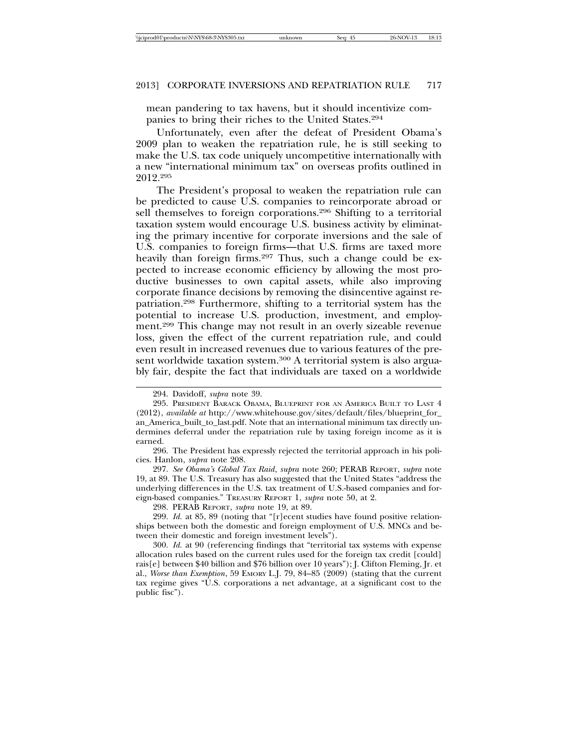mean pandering to tax havens, but it should incentivize companies to bring their riches to the United States.294

Unfortunately, even after the defeat of President Obama's 2009 plan to weaken the repatriation rule, he is still seeking to make the U.S. tax code uniquely uncompetitive internationally with a new "international minimum tax" on overseas profits outlined in 2012.295

The President's proposal to weaken the repatriation rule can be predicted to cause U.S. companies to reincorporate abroad or sell themselves to foreign corporations.296 Shifting to a territorial taxation system would encourage U.S. business activity by eliminating the primary incentive for corporate inversions and the sale of U.S. companies to foreign firms—that U.S. firms are taxed more heavily than foreign firms.<sup>297</sup> Thus, such a change could be expected to increase economic efficiency by allowing the most productive businesses to own capital assets, while also improving corporate finance decisions by removing the disincentive against repatriation.298 Furthermore, shifting to a territorial system has the potential to increase U.S. production, investment, and employment.299 This change may not result in an overly sizeable revenue loss, given the effect of the current repatriation rule, and could even result in increased revenues due to various features of the present worldwide taxation system.<sup>300</sup> A territorial system is also arguably fair, despite the fact that individuals are taxed on a worldwide

299. *Id.* at 85, 89 (noting that "[r]ecent studies have found positive relationships between both the domestic and foreign employment of U.S. MNCs and between their domestic and foreign investment levels").

300. *Id.* at 90 (referencing findings that "territorial tax systems with expense allocation rules based on the current rules used for the foreign tax credit [could] rais[e] between \$40 billion and \$76 billion over 10 years"); J. Clifton Fleming, Jr. et al., *Worse than Exemption*, 59 EMORY L.J. 79, 84–85 (2009) (stating that the current tax regime gives "U.S. corporations a net advantage, at a significant cost to the public fisc").

<sup>294.</sup> Davidoff, *supra* note 39.

<sup>295.</sup> PRESIDENT BARACK OBAMA, BLUEPRINT FOR AN AMERICA BUILT TO LAST 4 (2012), *available at* http://www.whitehouse.gov/sites/default/files/blueprint\_for\_ an\_America\_built\_to\_last.pdf. Note that an international minimum tax directly undermines deferral under the repatriation rule by taxing foreign income as it is earned.

<sup>296.</sup> The President has expressly rejected the territorial approach in his policies. Hanlon, *supra* note 208.

<sup>297.</sup> *See Obama's Global Tax Raid*, *supra* note 260; PERAB REPORT, *supra* note 19, at 89. The U.S. Treasury has also suggested that the United States "address the underlying differences in the U.S. tax treatment of U.S.-based companies and foreign-based companies." TREASURY REPORT 1, *supra* note 50, at 2.

<sup>298.</sup> PERAB REPORT, *supra* note 19, at 89.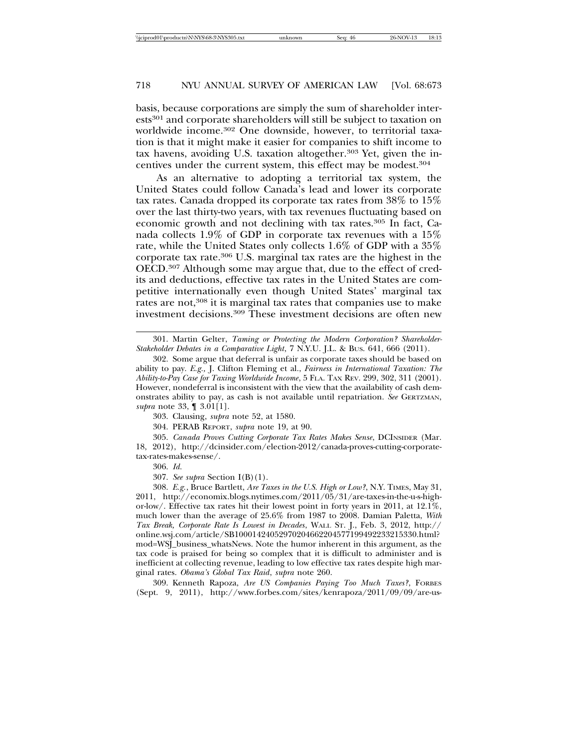basis, because corporations are simply the sum of shareholder interests301 and corporate shareholders will still be subject to taxation on worldwide income.302 One downside, however, to territorial taxation is that it might make it easier for companies to shift income to tax havens, avoiding U.S. taxation altogether.303 Yet, given the incentives under the current system, this effect may be modest.304

As an alternative to adopting a territorial tax system, the United States could follow Canada's lead and lower its corporate tax rates. Canada dropped its corporate tax rates from 38% to 15% over the last thirty-two years, with tax revenues fluctuating based on economic growth and not declining with tax rates.305 In fact, Canada collects 1.9% of GDP in corporate tax revenues with a 15% rate, while the United States only collects 1.6% of GDP with a 35% corporate tax rate.306 U.S. marginal tax rates are the highest in the OECD.307 Although some may argue that, due to the effect of credits and deductions, effective tax rates in the United States are competitive internationally even though United States' marginal tax rates are not,<sup>308</sup> it is marginal tax rates that companies use to make investment decisions.309 These investment decisions are often new

304. PERAB REPORT, *supra* note 19, at 90.

305. *Canada Proves Cutting Corporate Tax Rates Makes Sense*, DCINSIDER (Mar. 18, 2012), http://dcinsider.com/election-2012/canada-proves-cutting-corporatetax-rates-makes-sense/.

306. *Id.*

307. *See supra* Section I(B)(1).

308. *E.g.*, Bruce Bartlett, *Are Taxes in the U.S. High or Low?*, N.Y. TIMES, May 31, 2011, http://economix.blogs.nytimes.com/2011/05/31/are-taxes-in-the-u-s-highor-low/. Effective tax rates hit their lowest point in forty years in 2011, at 12.1%, much lower than the average of 25.6% from 1987 to 2008. Damian Paletta, *With Tax Break, Corporate Rate Is Lowest in Decades*, WALL ST. J., Feb. 3, 2012, http:// online.wsj.com/article/SB10001424052970204662204577199492233215330.html? mod=WSJ\_business\_whatsNews. Note the humor inherent in this argument, as the tax code is praised for being so complex that it is difficult to administer and is inefficient at collecting revenue, leading to low effective tax rates despite high marginal rates. *Obama's Global Tax Raid*, *supra* note 260.

309. Kenneth Rapoza, *Are US Companies Paying Too Much Taxes?*, FORBES (Sept. 9, 2011), http://www.forbes.com/sites/kenrapoza/2011/09/09/are-us-

<sup>301.</sup> Martin Gelter, *Taming or Protecting the Modern Corporation? Shareholder-Stakeholder Debates in a Comparative Light*, 7 N.Y.U. J.L. & BUS. 641, 666 (2011).

<sup>302.</sup> Some argue that deferral is unfair as corporate taxes should be based on ability to pay. *E.g.,* J. Clifton Fleming et al., *Fairness in International Taxation: The Ability-to-Pay Case for Taxing Worldwide Income*, 5 FLA. TAX REV. 299, 302, 311 (2001). However, nondeferral is inconsistent with the view that the availability of cash demonstrates ability to pay, as cash is not available until repatriation. *See* GERTZMAN, *supra* note 33, ¶ 3.01[1].

<sup>303.</sup> Clausing, *supra* note 52, at 1580.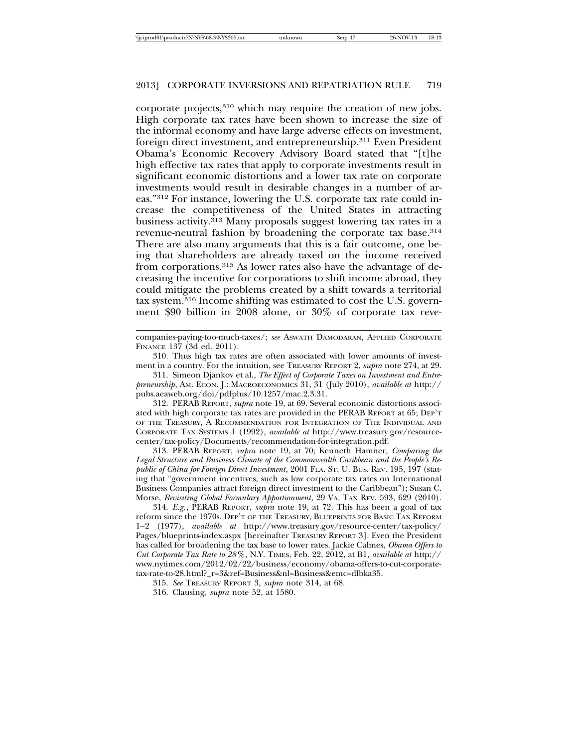corporate projects,310 which may require the creation of new jobs. High corporate tax rates have been shown to increase the size of the informal economy and have large adverse effects on investment, foreign direct investment, and entrepreneurship.311 Even President Obama's Economic Recovery Advisory Board stated that "[t]he high effective tax rates that apply to corporate investments result in significant economic distortions and a lower tax rate on corporate investments would result in desirable changes in a number of areas."312 For instance, lowering the U.S. corporate tax rate could increase the competitiveness of the United States in attracting business activity.313 Many proposals suggest lowering tax rates in a revenue-neutral fashion by broadening the corporate tax base.314 There are also many arguments that this is a fair outcome, one being that shareholders are already taxed on the income received from corporations.315 As lower rates also have the advantage of decreasing the incentive for corporations to shift income abroad, they could mitigate the problems created by a shift towards a territorial tax system. $316$  Income shifting was estimated to cost the U.S. government \$90 billion in 2008 alone, or 30% of corporate tax reve-

312. PERAB REPORT, *supra* note 19, at 69. Several economic distortions associated with high corporate tax rates are provided in the PERAB REPORT at 65; DEP'T OF THE TREASURY, A RECOMMENDATION FOR INTEGRATION OF THE INDIVIDUAL AND CORPORATE TAX SYSTEMS 1 (1992), *available at* http://www.treasury.gov/resourcecenter/tax-policy/Documents/recommendation-for-integration.pdf.

313. PERAB REPORT, *supra* note 19, at 70; Kenneth Hamner, *Comparing the Legal Structure and Business Climate of the Commonwealth Caribbean and the People's Republic of China for Foreign Direct Investment*, 2001 FLA. ST. U. BUS. REV. 195, 197 (stating that "government incentives, such as low corporate tax rates on International Business Companies attract foreign direct investment to the Caribbean"); Susan C. Morse, *Revisiting Global Formulary Apportionment*, 29 VA. TAX REV. 593, 629 (2010).

314. *E.g.*, PERAB REPORT, *supra* note 19, at 72. This has been a goal of tax reform since the 1970s. DEP'T OF THE TREASURY, BLUEPRINTS FOR BASIC TAX REFORM 1–2 (1977), *available at* http://www.treasury.gov/resource-center/tax-policy/ Pages/blueprints-index.aspx [hereinafter TREASURY REPORT 3]. Even the President has called for broadening the tax base to lower rates. Jackie Calmes, *Obama Offers to Cut Corporate Tax Rate to 28%*, N.Y. TIMES, Feb. 22, 2012, at B1, *available at* http:// www.nytimes.com/2012/02/22/business/economy/obama-offers-to-cut-corporatetax-rate-to-28.html?\_r=3&ref=Business&nl=Business&emc=dlbka35.

315. *See* TREASURY REPORT 3, *supra* note 314, at 68.

316. Clausing, *supra* note 52, at 1580.

companies-paying-too-much-taxes/; *see* ASWATH DAMODARAN, APPLIED CORPORATE FINANCE 137 (3d ed. 2011).

<sup>310.</sup> Thus high tax rates are often associated with lower amounts of investment in a country. For the intuition, see TREASURY REPORT 2, *supra* note 274, at 29.

<sup>311.</sup> Simeon Djankov et al., *The Effect of Corporate Taxes on Investment and Entrepreneurship*, AM. ECON. J.: MACROECONOMICS 31, 31 (July 2010), *available at* http:// pubs.aeaweb.org/doi/pdfplus/10.1257/mac.2.3.31.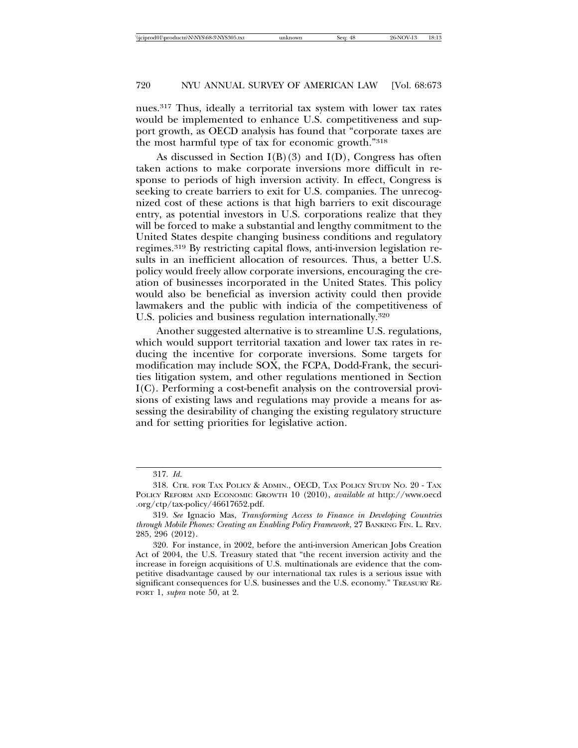nues.317 Thus, ideally a territorial tax system with lower tax rates would be implemented to enhance U.S. competitiveness and support growth, as OECD analysis has found that "corporate taxes are the most harmful type of tax for economic growth."318

As discussed in Section  $I(B)(3)$  and  $I(D)$ , Congress has often taken actions to make corporate inversions more difficult in response to periods of high inversion activity. In effect, Congress is seeking to create barriers to exit for U.S. companies. The unrecognized cost of these actions is that high barriers to exit discourage entry, as potential investors in U.S. corporations realize that they will be forced to make a substantial and lengthy commitment to the United States despite changing business conditions and regulatory regimes.319 By restricting capital flows, anti-inversion legislation results in an inefficient allocation of resources. Thus, a better U.S. policy would freely allow corporate inversions, encouraging the creation of businesses incorporated in the United States. This policy would also be beneficial as inversion activity could then provide lawmakers and the public with indicia of the competitiveness of U.S. policies and business regulation internationally.320

Another suggested alternative is to streamline U.S. regulations, which would support territorial taxation and lower tax rates in reducing the incentive for corporate inversions. Some targets for modification may include SOX, the FCPA, Dodd-Frank, the securities litigation system, and other regulations mentioned in Section I(C). Performing a cost-benefit analysis on the controversial provisions of existing laws and regulations may provide a means for assessing the desirability of changing the existing regulatory structure and for setting priorities for legislative action.

<sup>317.</sup> *Id.*

<sup>318.</sup> CTR. FOR TAX POLICY & ADMIN., OECD, TAX POLICY STUDY NO. 20 - TAX POLICY REFORM AND ECONOMIC GROWTH 10 (2010), *available at* http://www.oecd .org/ctp/tax-policy/46617652.pdf.

<sup>319.</sup> *See* Ignacio Mas, *Transforming Access to Finance in Developing Countries through Mobile Phones: Creating an Enabling Policy Framework*, 27 BANKING FIN. L. REV. 285, 296 (2012).

<sup>320.</sup> For instance, in 2002, before the anti-inversion American Jobs Creation Act of 2004, the U.S. Treasury stated that "the recent inversion activity and the increase in foreign acquisitions of U.S. multinationals are evidence that the competitive disadvantage caused by our international tax rules is a serious issue with significant consequences for U.S. businesses and the U.S. economy." TREASURY RE-PORT 1, *supra* note 50, at 2.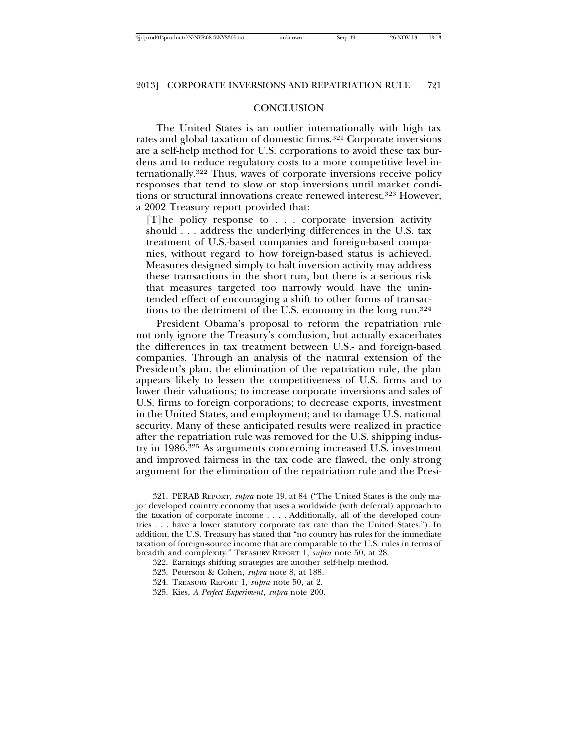| \\iciprod01\productn\N\NYS\68-3\NYS305.txt<br>26-NOV-13<br>40<br>Seg:<br>unknown | 18:13 |
|----------------------------------------------------------------------------------|-------|
|----------------------------------------------------------------------------------|-------|

## **CONCLUSION**

The United States is an outlier internationally with high tax rates and global taxation of domestic firms.321 Corporate inversions are a self-help method for U.S. corporations to avoid these tax burdens and to reduce regulatory costs to a more competitive level internationally.322 Thus, waves of corporate inversions receive policy responses that tend to slow or stop inversions until market conditions or structural innovations create renewed interest.323 However, a 2002 Treasury report provided that:

[T]he policy response to . . . corporate inversion activity should . . . address the underlying differences in the U.S. tax treatment of U.S.-based companies and foreign-based companies, without regard to how foreign-based status is achieved. Measures designed simply to halt inversion activity may address these transactions in the short run, but there is a serious risk that measures targeted too narrowly would have the unintended effect of encouraging a shift to other forms of transactions to the detriment of the U.S. economy in the long run.324

President Obama's proposal to reform the repatriation rule not only ignore the Treasury's conclusion, but actually exacerbates the differences in tax treatment between U.S.- and foreign-based companies. Through an analysis of the natural extension of the President's plan, the elimination of the repatriation rule, the plan appears likely to lessen the competitiveness of U.S. firms and to lower their valuations; to increase corporate inversions and sales of U.S. firms to foreign corporations; to decrease exports, investment in the United States, and employment; and to damage U.S. national security. Many of these anticipated results were realized in practice after the repatriation rule was removed for the U.S. shipping industry in 1986.325 As arguments concerning increased U.S. investment and improved fairness in the tax code are flawed, the only strong argument for the elimination of the repatriation rule and the Presi-

<sup>321.</sup> PERAB REPORT, *supra* note 19, at 84 ("The United States is the only major developed country economy that uses a worldwide (with deferral) approach to the taxation of corporate income . . . . Additionally, all of the developed countries . . . have a lower statutory corporate tax rate than the United States."). In addition, the U.S. Treasury has stated that "no country has rules for the immediate taxation of foreign-source income that are comparable to the U.S. rules in terms of breadth and complexity." TREASURY REPORT 1, *supra* note 50, at 28.

<sup>322.</sup> Earnings shifting strategies are another self-help method.

<sup>323.</sup> Peterson & Cohen, *supra* note 8, at 188.

<sup>324.</sup> TREASURY REPORT 1, *supra* note 50, at 2.

<sup>325.</sup> Kies, *A Perfect Experiment*, *supra* note 200.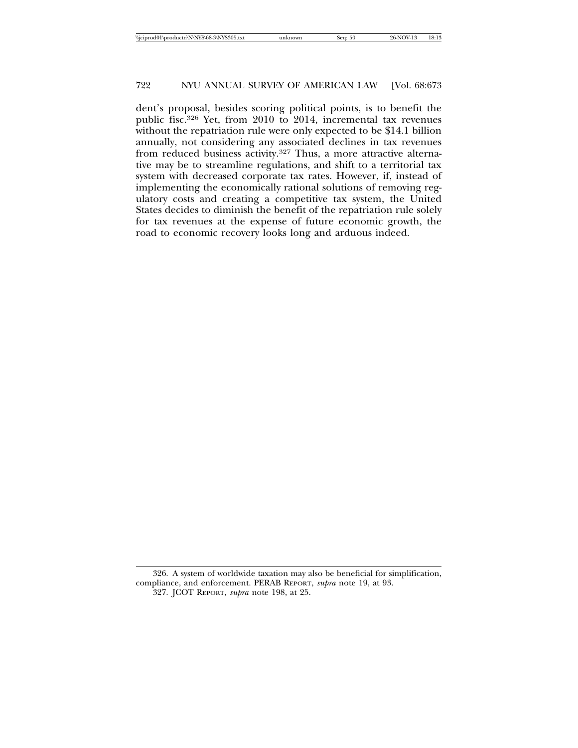dent's proposal, besides scoring political points, is to benefit the public fisc.326 Yet, from 2010 to 2014, incremental tax revenues without the repatriation rule were only expected to be \$14.1 billion annually, not considering any associated declines in tax revenues from reduced business activity.327 Thus, a more attractive alternative may be to streamline regulations, and shift to a territorial tax system with decreased corporate tax rates. However, if, instead of implementing the economically rational solutions of removing regulatory costs and creating a competitive tax system, the United States decides to diminish the benefit of the repatriation rule solely for tax revenues at the expense of future economic growth, the road to economic recovery looks long and arduous indeed.

<sup>326.</sup> A system of worldwide taxation may also be beneficial for simplification, compliance, and enforcement. PERAB REPORT, *supra* note 19, at 93. 327. JCOT REPORT, *supra* note 198, at 25.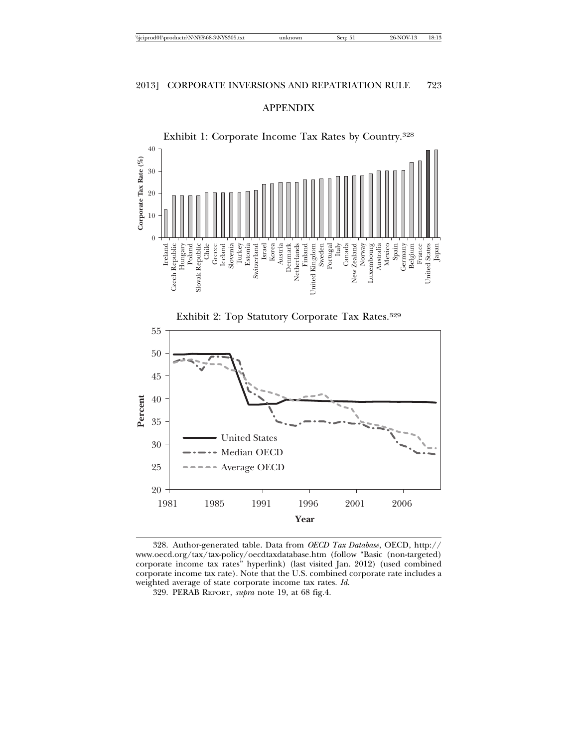



328. Author-generated table. Data from *OECD Tax Database*, OECD, http:// www.oecd.org/tax/tax-policy/oecdtaxdatabase.htm (follow "Basic (non-targeted) corporate income tax rates" hyperlink) (last visited Jan. 2012) (used combined corporate income tax rate). Note that the U.S. combined corporate rate includes a weighted average of state corporate income tax rates. *Id.*

<sup>329.</sup> PERAB REPORT, *supra* note 19, at 68 fig.4.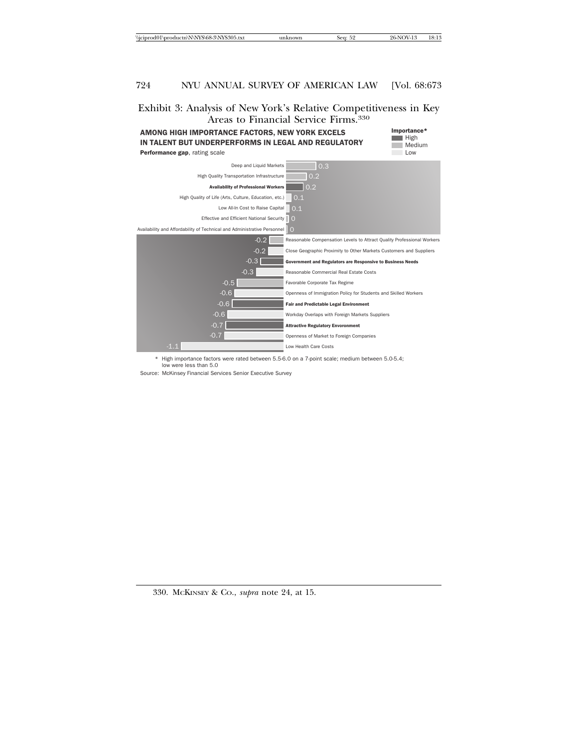## Exhibit 3: Analysis of New York's Relative Competitiveness in Key Areas to Financial Service Firms.330



Importance\* High Medium Low



\* High importance factors were rated between 5.5-6.0 on a 7-point scale; medium between 5.0-5.4; low were less than 5.0

Source: McKinsey Financial Services Senior Executive Survey

330. MCKINSEY & CO., *supra* note 24, at 15.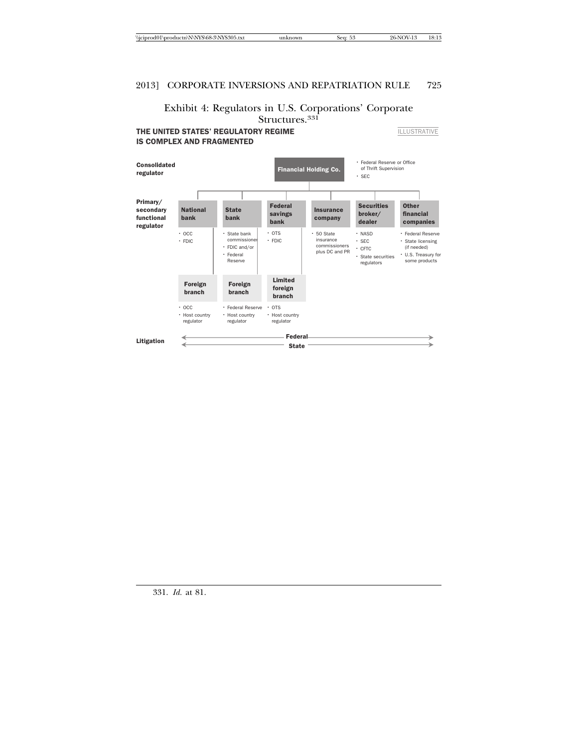## Exhibit 4: Regulators in U.S. Corporations' Corporate Structures.<sup>331</sup>

THE UNITED STATES' REGULATORY REGIME IS COMPLEX AND FRAGMENTED

**ILLUSTRATIVE** 



331. *Id.* at 81.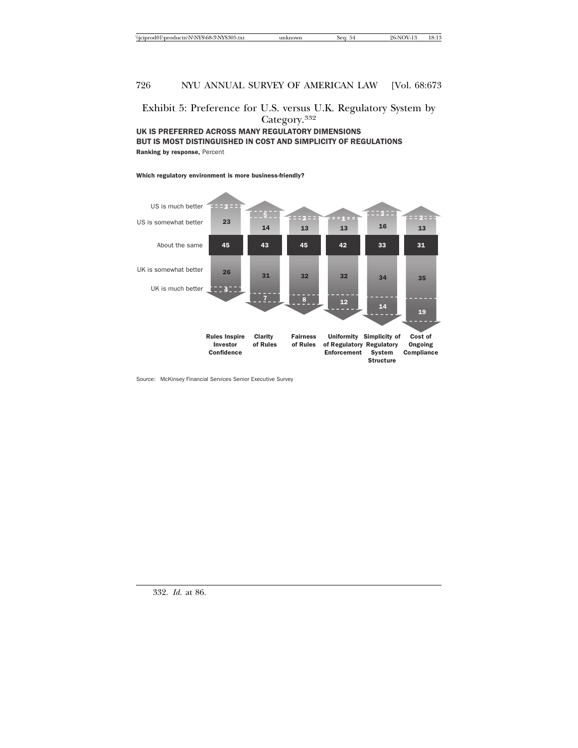## Exhibit 5: Preference for U.S. versus U.K. Regulatory System by Category.332

UK IS PREFERRED ACROSS MANY REGULATORY DIMENSIONS BUT IS MOST DISTINGUISHED IN COST AND SIMPLICITY OF REGULATIONS Ranking by response, Percent

### Which regulatory environment is more business-friendly?



Source: McKinsey Financial Services Senior Executive Survey

332. *Id.* at 86.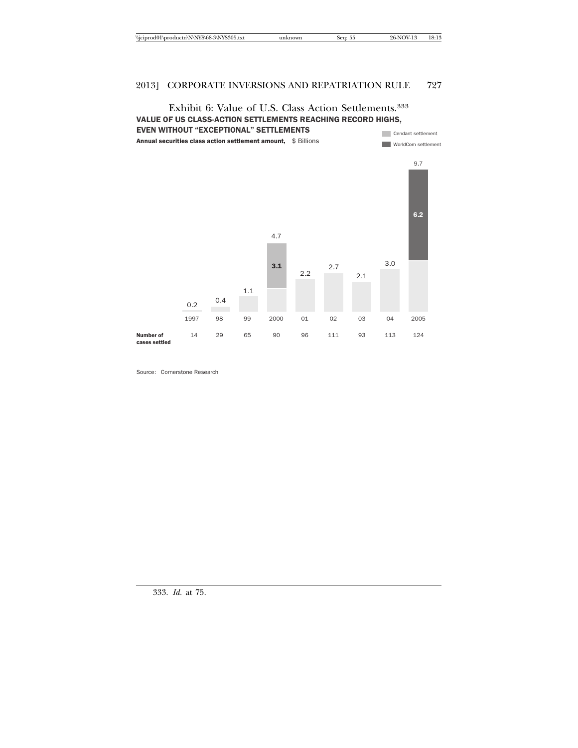#### Exhibit 6: Value of U.S. Class Action Settlements.333 VALUE OF US CLASS-ACTION SETTLEMENTS REACHING RECORD HIGHS, EVEN WITHOUT "EXCEPTIONAL" SETTLEMENTS Cendant settlement



Source: Cornerstone Research

333. *Id.* at 75.